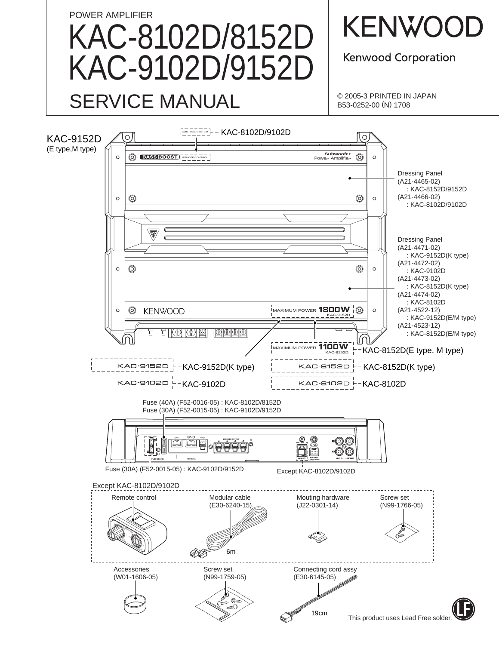# POWER AMPLIFIER KAC-8102D/8152D KAC-9102D/9152D SERVICE MANUAL

**KENWOOL** 

**Kenwood Corporation** 

© 2005-3 PRINTED IN JAPAN B53-0252-00 (N) 1708

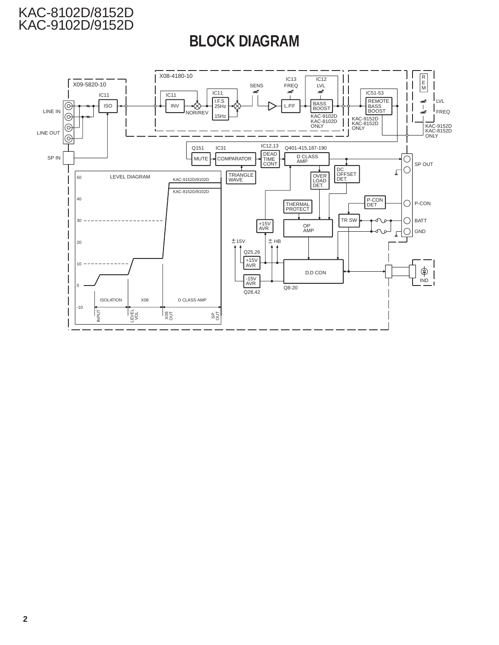# **BLOCK DIAGRAM**

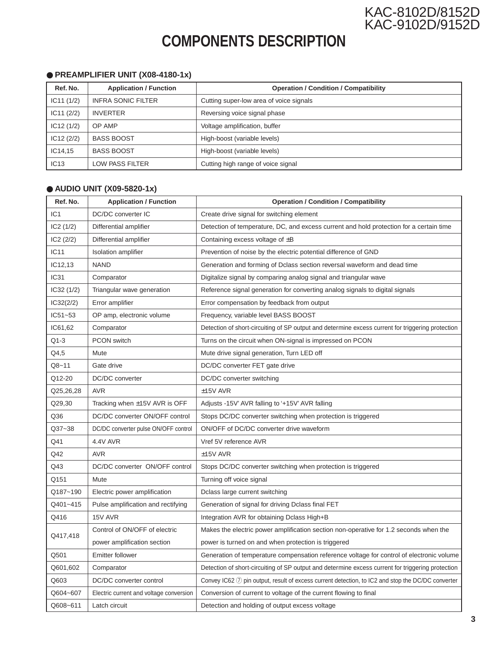

# **COMPONENTS DESCRIPTION**

### ● **PREAMPLIFIER UNIT (X08-4180-1x)**

| Ref. No.   | <b>Application / Function</b> | <b>Operation / Condition / Compatibility</b> |
|------------|-------------------------------|----------------------------------------------|
| IC11(1/2)  | <b>INFRA SONIC FILTER</b>     | Cutting super-low area of voice signals      |
| IC11 (2/2) | <b>INVERTER</b>               | Reversing voice signal phase                 |
| IC12(1/2)  | OP AMP                        | Voltage amplification, buffer                |
| IC12(2/2)  | <b>BASS BOOST</b>             | High-boost (variable levels)                 |
| IC14,15    | <b>BASS BOOST</b>             | High-boost (variable levels)                 |
| IC13       | LOW PASS FILTER               | Cutting high range of voice signal           |

#### ● **AUDIO UNIT (X09-5820-1x)**

| Ref. No.         | <b>Application / Function</b>           | <b>Operation / Condition / Compatibility</b>                                                                  |
|------------------|-----------------------------------------|---------------------------------------------------------------------------------------------------------------|
| IC <sub>1</sub>  | DC/DC converter IC                      | Create drive signal for switching element                                                                     |
| IC2(1/2)         | Differential amplifier                  | Detection of temperature, DC, and excess current and hold protection for a certain time                       |
| IC2(2/2)         | Differential amplifier                  | Containing excess voltage of $\pm B$                                                                          |
| IC11             | Isolation amplifier                     | Prevention of noise by the electric potential difference of GND                                               |
| IC12,13          | <b>NAND</b>                             | Generation and forming of Dclass section reversal waveform and dead time                                      |
| IC <sub>31</sub> | Comparator                              | Digitalize signal by comparing analog signal and triangular wave                                              |
| IC32(1/2)        | Triangular wave generation              | Reference signal generation for converting analog signals to digital signals                                  |
| IC32(2/2)        | Error amplifier                         | Error compensation by feedback from output                                                                    |
| $IC51 - 53$      | OP amp, electronic volume               | Frequency, variable level BASS BOOST                                                                          |
| IC61,62          | Comparator                              | Detection of short-circuiting of SP output and determine excess current for triggering protection             |
| Q1-3             | <b>PCON switch</b>                      | Turns on the circuit when ON-signal is impressed on PCON                                                      |
| Q4,5             | Mute                                    | Mute drive signal generation, Turn LED off                                                                    |
| Q8~11            | Gate drive                              | DC/DC converter FET gate drive                                                                                |
| Q12-20           | DC/DC converter                         | DC/DC converter switching                                                                                     |
| Q25,26,28        | <b>AVR</b>                              | $±15V$ AVR                                                                                                    |
| Q29,30           | Tracking when $\pm$ 15V AVR is OFF      | Adjusts -15V' AVR falling to '+15V' AVR falling                                                               |
| Q36              | DC/DC converter ON/OFF control          | Stops DC/DC converter switching when protection is triggered                                                  |
| Q37~38           | DC/DC converter pulse ON/OFF control    | ON/OFF of DC/DC converter drive waveform                                                                      |
| Q41              | 4.4V AVR                                | Vref 5V reference AVR                                                                                         |
| Q42              | <b>AVR</b>                              | $±15V$ AVR                                                                                                    |
| Q43              | DC/DC converter ON/OFF control          | Stops DC/DC converter switching when protection is triggered                                                  |
| Q151             | Mute                                    | Turning off voice signal                                                                                      |
| Q187~190         | Electric power amplification            | Dclass large current switching                                                                                |
| Q401~415         | Pulse amplification and rectifying      | Generation of signal for driving Dclass final FET                                                             |
| Q416             | 15V AVR                                 | Integration AVR for obtaining Dclass High+B                                                                   |
|                  | Control of ON/OFF of electric           | Makes the electric power amplification section non-operative for 1.2 seconds when the                         |
| Q417,418         | power amplification section             | power is turned on and when protection is triggered                                                           |
| Q501             | <b>Emitter follower</b>                 | Generation of temperature compensation reference voltage for control of electronic volume                     |
| Q601,602         | Comparator                              | Detection of short-circuiting of SP output and determine excess current for triggering protection             |
| Q603             | DC/DC converter control                 | Convey IC62 $\circled{2}$ pin output, result of excess current detection, to IC2 and stop the DC/DC converter |
| Q604~607         | Electric current and voltage conversion | Conversion of current to voltage of the current flowing to final                                              |
| Q608~611         | Latch circuit                           | Detection and holding of output excess voltage                                                                |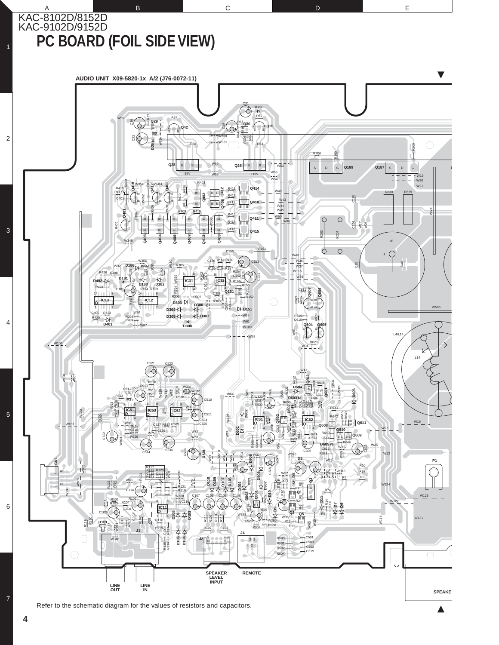KAC-8102D/8152D KAC-9102D/9152D **PC BOARD (FOIL SIDE VIEW)**

1

2

3

4

5

6



A B B C D E

**4**

7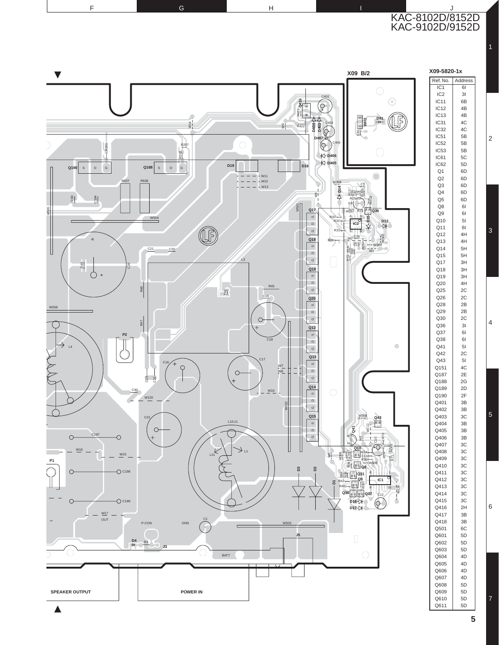KAC-8102D/8152D KAC-9102D/9152D F G G H I J

1

2

3

4

5

6

7

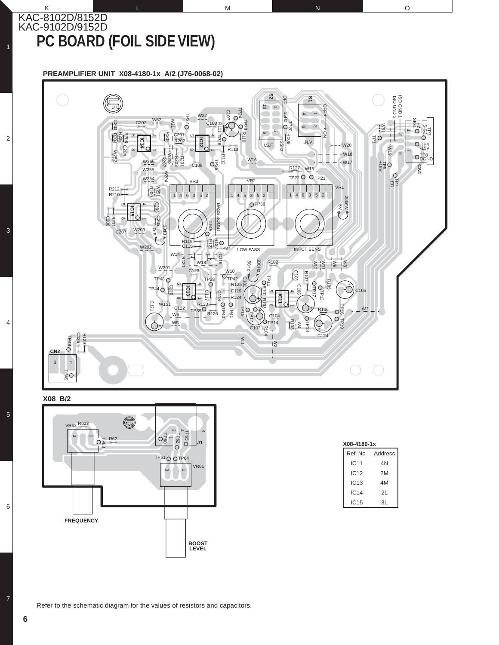### KAC-8102D/8152D KAC-9102D/9152D **PC BOARD (FOIL SIDE VIEW)**

1

2

3

4

5

6

7

#### **PREAMPLIFIER UNIT X08-4180-1x A/2 (J76-0068-02)**



K L L M N N O

**X08 B/2**



| X08-4180-1x |         |  |  |  |  |  |  |  |  |  |
|-------------|---------|--|--|--|--|--|--|--|--|--|
| Ref. No.    | Address |  |  |  |  |  |  |  |  |  |
| <b>IC11</b> | 4N      |  |  |  |  |  |  |  |  |  |
| IC12        | 2M      |  |  |  |  |  |  |  |  |  |
| IC13        | 4M      |  |  |  |  |  |  |  |  |  |
| IC14        | 21      |  |  |  |  |  |  |  |  |  |
| IC15        | 3L      |  |  |  |  |  |  |  |  |  |
|             |         |  |  |  |  |  |  |  |  |  |

Refer to the schematic diagram for the values of resistors and capacitors.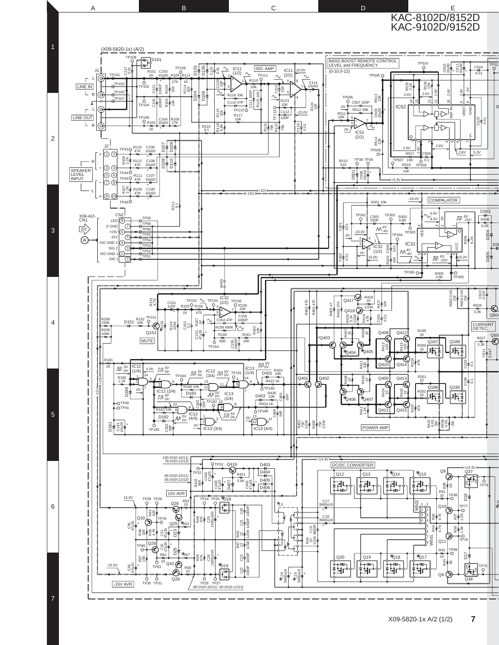

A B B C D E

7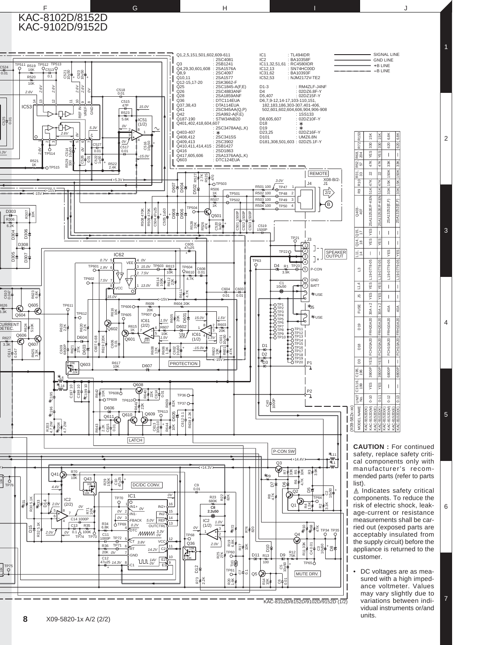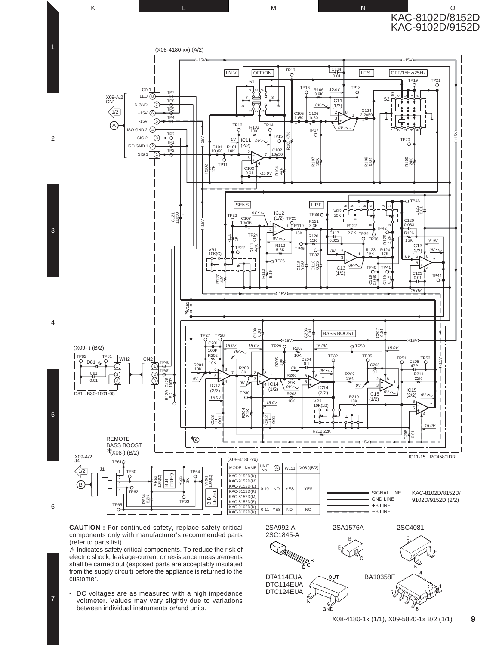

• DC voltages are as measured with a high impedance voltmeter. Values may vary slightly due to variations between individual instruments or/and units.

7

ΪÑ

**କ**ଳ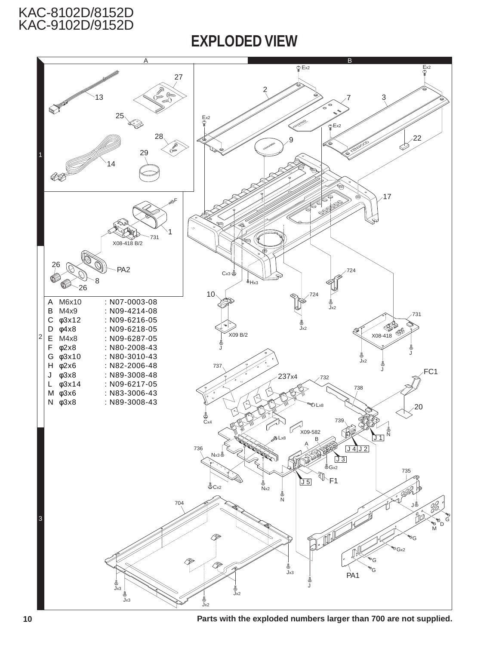## **EXPLODED VIEW**



**Parts with the exploded numbers larger than 700 are not supplied.**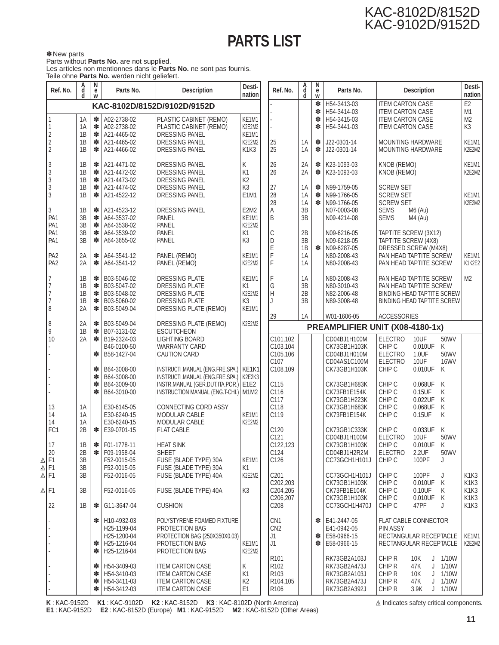# **PARTS LIST**

✽ New parts Parts without **Parts No.** are not supplied. Les articles non mentionnes dans le **Parts No.** ne sont pas fournis. Teile ohne **Parts No.** werden nicht geliefert.

|                                       | Ref. No.                                              | A<br>d               | N<br>e<br>W      | Parts No.                                                                                           | Desti-<br><b>Description</b><br>nation                                                                                     |                                                | Ref. No.                                                                     | A<br>d<br>d          | N<br>е<br>W      | Parts No.                                                                    | <b>Description</b>                                                                                                                                   | Desti-<br>nation                                                                                |
|---------------------------------------|-------------------------------------------------------|----------------------|------------------|-----------------------------------------------------------------------------------------------------|----------------------------------------------------------------------------------------------------------------------------|------------------------------------------------|------------------------------------------------------------------------------|----------------------|------------------|------------------------------------------------------------------------------|------------------------------------------------------------------------------------------------------------------------------------------------------|-------------------------------------------------------------------------------------------------|
|                                       |                                                       |                      |                  |                                                                                                     | KAC-8102D/8152D/9102D/9152D                                                                                                |                                                |                                                                              |                      | $\ast$<br>$\ast$ | H54-3413-03<br>H54-3414-03                                                   | <b>ITEM CARTON CASE</b><br><b>ITEM CARTON CASE</b>                                                                                                   | E <sub>2</sub><br>M1                                                                            |
|                                       | 1<br>$\overline{\mathbf{c}}$                          | 1A<br>1A<br>1B       | ∗<br>∗<br>∗      | A02-2738-02<br>A02-2738-02<br>A21-4465-02                                                           | PLASTIC CABINET (REMO)<br>PLASTIC CABINET (REMO)<br>DRESSING PANEL                                                         | KE1M1<br>K2E2M2<br>KE1M1                       |                                                                              |                      | $\ast$<br>$\ast$ | H54-3415-03<br>H54-3441-03                                                   | <b>ITEM CARTON CASE</b><br><b>ITEM CARTON CASE</b>                                                                                                   | M2<br>K3                                                                                        |
|                                       | $\overline{\mathbf{c}}$<br>$\overline{2}$             | 1B<br>1B             | ∗<br>*           | A21-4465-02<br>A21-4466-02                                                                          | DRESSING PANEL<br>DRESSING PANEL                                                                                           | K2E2M2<br>K <sub>1</sub> K <sub>3</sub>        | 25<br>25                                                                     | 1A<br>1A             | ∗<br>$\ast$      | J22-0301-14<br>J22-0301-14                                                   | MOUNTING HARDWARE<br>MOUNTING HARDWARE                                                                                                               | KE1M1<br>K2E2M2                                                                                 |
|                                       | 3<br>3<br>$\vert$ 3                                   | 1B<br>1B<br>1B       | ∗<br>∗<br>∗      | A21-4471-02<br>A21-4472-02<br>A21-4473-02                                                           | <b>DRESSING PANEL</b><br>DRESSING PANEL<br>DRESSING PANEL                                                                  | Κ<br>K <sub>1</sub><br>K <sub>2</sub>          | 26<br>26                                                                     | 2A<br>2A             | ∗<br>$\ast$      | K23-1093-03<br>K23-1093-03                                                   | KNOB (REMO)<br>KNOB (REMO)                                                                                                                           | KE1M1<br>K2E2M2                                                                                 |
|                                       | 3<br>$\ensuremath{\mathsf{3}}$<br>3                   | 1B<br>1B<br>1B       | ∗<br>∗<br>∗      | A21-4474-02<br>A21-4522-12<br>A21-4523-12                                                           | <b>DRESSING PANEL</b><br>DRESSING PANEL<br>DRESSING PANEL                                                                  | K <sub>3</sub><br>E1M1<br>E2M2                 | 27<br>28<br>28<br>Α                                                          | 1A<br>1A<br>1A<br>3B | ∗<br>∗<br>$\ast$ | N99-1759-05<br>N99-1766-05<br>N99-1766-05<br>N07-0003-08                     | <b>SCREW SET</b><br><b>SCREW SET</b><br><b>SCREW SET</b><br>$M6$ (Au)<br><b>SEMS</b>                                                                 | KE1M1<br>K2E2M2                                                                                 |
|                                       | PA <sub>1</sub><br>PA <sub>1</sub><br>PA <sub>1</sub> | 3B<br>3B<br>3B       | ∗<br>∗<br>∗      | A64-3537-02<br>A64-3538-02<br>A64-3539-02                                                           | PANEL<br>PANEL<br>PANEL                                                                                                    | KE <sub>1</sub> M <sub>1</sub><br>K2E2M2<br>K1 | B<br>$\mathsf C$                                                             | 3B<br>2B             |                  | N09-4214-08<br>N09-6216-05                                                   | <b>SEMS</b><br>$M4$ (Au)<br>TAPTITE SCREW (3X12)                                                                                                     |                                                                                                 |
|                                       | PA <sub>1</sub><br>PA <sub>2</sub>                    | 3B<br>2A             | ∗<br>∗           | A64-3655-02<br>A64-3541-12                                                                          | PANEL<br>PANEL (REMO)                                                                                                      | K <sub>3</sub><br>KE1M1                        | D<br>Ē<br>F                                                                  | 3B<br>1B<br>1A       | $\ast$           | N09-6218-05<br>N09-6287-05<br>N80-2008-43                                    | TAPTITE SCREW (4X8)<br>DRESSED SCREW (M4X8)<br>PAN HEAD TAPTITE SCREW                                                                                | KE <sub>1</sub> M <sub>1</sub>                                                                  |
|                                       | PA <sub>2</sub>                                       | 2A                   | ∗                | A64-3541-12                                                                                         | PANEL (REMO)                                                                                                               | K2E2M2                                         | F                                                                            | 1A                   |                  | N80-2008-43                                                                  | PAN HEAD TAPTITE SCREW                                                                                                                               | K1K2E2                                                                                          |
|                                       | 7<br>$\overline{7}$<br>$\overline{7}$                 | 1B<br>1B<br>1B       | ∗<br>∗<br>∗      | B03-5046-02<br>B03-5047-02<br>B03-5048-02                                                           | DRESSING PLATE<br>DRESSING PLATE<br><b>DRESSING PLATE</b>                                                                  | KE1M1<br>K1<br>K2E2M2                          | F<br>G<br>$\overline{H}$                                                     | 1A<br>3B<br>2B       |                  | N80-2008-43<br>N80-3010-43<br>N82-2006-48                                    | PAN HEAD TAPTITE SCREW<br>PAN HEAD TAPTITE SCREW<br><b>BINDING HEAD TAPTITE SCREW</b>                                                                | M2                                                                                              |
|                                       | 7<br>8                                                | 1B<br>2A             | ∗<br>∗           | B03-5060-02<br>B03-5049-04                                                                          | <b>DRESSING PLATE</b><br>DRESSING PLATE (REMO)                                                                             | K <sub>3</sub><br>KE1M1                        | J                                                                            | 3B                   |                  | N89-3008-48                                                                  | BINDING HEAD TAPTITE SCREW                                                                                                                           |                                                                                                 |
|                                       | 8                                                     | 2A                   | ∗                | B03-5049-04                                                                                         | DRESSING PLATE (REMO)                                                                                                      | K2E2M2                                         | 29                                                                           | 1A                   |                  | W01-1606-05                                                                  | <b>ACCESSORIES</b><br>PREAMPLIFIER UNIT (X08-4180-1x)                                                                                                |                                                                                                 |
|                                       | 9<br>10                                               | 1B<br>2A             | ∗<br>∗           | B07-3131-02<br>B19-2324-03<br>B46-0100-50                                                           | <b>ESCUTCHEON</b><br><b>LIGHTING BOARD</b><br><b>WARRANTY CARD</b>                                                         |                                                | C101,102<br>C103,104                                                         |                      |                  | CD04BJ1H100M<br>CK73GB1H103K                                                 | <b>ELECTRO</b><br>10UF<br>50WV<br>CHIP C<br>0.010UF<br>Κ                                                                                             |                                                                                                 |
|                                       |                                                       |                      | *<br>∗           | B58-1427-04<br>B64-3008-00                                                                          | <b>CAUTION CARD</b><br>INSTRUCTI.MANUAL (ENG.FRE.SPA.)   KE1K1                                                             |                                                | C105,106<br>C107<br>C108,109                                                 |                      |                  | CD04BJ1H010M<br>CD04AS1C100M<br>CK73GB1H103K                                 | <b>ELECTRO</b><br>1.0UF<br>50WV<br><b>ELECTRO</b><br>10UF<br><b>16WV</b><br>0.010UF<br>CHIP C<br>K                                                   |                                                                                                 |
|                                       |                                                       |                      | ∗<br>∗<br>$\ast$ | B64-3008-00<br>B64-3009-00<br>B64-3010-00                                                           | INSTRUCTI.MANUAL (ENG.FRE.SPA.)   K2E2K3<br>INSTR.MANUAL (GER.DUT.ITA.POR.) E1E2<br>INSTRUCTION MANUAL (ENG.T-CHI.)   M1M2 |                                                | C115<br>C116<br>C117                                                         |                      |                  | CK73GB1H683K<br>CK73FB1E154K<br>CK73GB1H223K                                 | CHIP C<br>0.068UF<br>K<br>CHIP C<br>0.15UF<br>Κ<br>CHIP C<br>0.022UF<br>Κ                                                                            |                                                                                                 |
|                                       | 13<br>14<br>14                                        | 1A<br>1A<br>1A       |                  | E30-6145-05<br>E30-6240-15<br>E30-6240-15                                                           | CONNECTING CORD ASSY<br>MODULAR CABLE<br>MODULAR CABLE                                                                     | KE1M1<br>K2E2M2                                | C118<br>C119                                                                 |                      |                  | CK73GB1H683K<br>CK73FB1E154K                                                 | CHIP C<br>0.068UF<br>Κ<br>CHIP C<br>0.15UF<br>Κ                                                                                                      |                                                                                                 |
|                                       | FC <sub>1</sub><br>17                                 | 2B<br>1B             | ∗                | E39-0701-15<br>$\cdot$ F01-1778-11                                                                  | <b>FLAT CABLE</b><br><b>HEAT SINK</b><br><b>SHEET</b>                                                                      |                                                | C120<br>C121<br>C122,123<br>C124                                             |                      |                  | CK73GB1C333K<br>CD04BJ1H100M<br>CK73GB1H103K                                 | CHIP C<br>Κ<br>0.033UF<br><b>ELECTRO</b><br>50WV<br>10UF<br>0.010UF<br>CHIP C<br>Κ<br><b>ELECTRO</b>                                                 |                                                                                                 |
| ∆<br>$\triangle$ F1<br>$\triangle$ F1 | 20<br>F1                                              | 2B<br>3B<br>3B<br>3B | ∗                | F09-1958-04<br>F52-0015-05<br>F52-0015-05<br>F52-0016-05                                            | FUSE (BLADE TYPE) 30A<br>FUSE (BLADE TYPE) 30A<br>FUSE (BLADE TYPE) 40A                                                    | KE1M1<br>Κ1<br>K2E2M2                          | C126<br>C <sub>201</sub>                                                     |                      |                  | CD04BJ1H2R2M<br>CC73GCH1H101J<br>CC73GCH1H101J                               | 2.2UF<br>50WV<br>100PF<br>CHIP C<br>J<br>CHIP C<br>100PF<br>J                                                                                        | K <sub>1</sub> K <sub>3</sub>                                                                   |
| $\triangle$ F1                        |                                                       | 3B                   |                  | F52-0016-05                                                                                         | FUSE (BLADE TYPE) 40A                                                                                                      | K <sub>3</sub>                                 | C202.203<br>C204,205<br>C206,207                                             |                      |                  | CK73GB1H103K<br>CK73FB1E104K<br>CK73GB1H103K                                 | CHIP C<br>0.010UF<br>K<br>CHIP C<br>0.10UF<br>Κ<br>CHIP C<br>0.010UF<br>K                                                                            | K <sub>1</sub> K <sub>3</sub><br>K <sub>1</sub> K <sub>3</sub><br>K <sub>1</sub> K <sub>3</sub> |
|                                       | 22                                                    | 1B                   | ∗                | G11-3647-04                                                                                         | <b>CUSHION</b>                                                                                                             |                                                | C <sub>208</sub>                                                             |                      |                  | CC73GCH1H470J                                                                | CHIP C<br>47PF<br>J                                                                                                                                  | K <sub>1</sub> K <sub>3</sub>                                                                   |
|                                       |                                                       |                      | ∗<br>∗           | * H10-4932-03<br>H25-1199-04<br>H25-1200-04<br>H <sub>25</sub> -1216-04<br>H <sub>25</sub> -1216-04 | POLYSTYRENE FOAMED FIXTURE<br>PROTECTION BAG<br>PROTECTION BAG (250X350X0.03)<br>PROTECTION BAG<br>PROTECTION BAG          | KE1M1<br>K2E2M2                                | CN <sub>1</sub><br>CN <sub>2</sub><br>J1<br>J1                               |                      |                  | $\cdot$ E41-2447-05<br>E41-0942-05<br>$\cdot$   E58-0966-15<br>* E58-0966-15 | FLAT CABLE CONNECTOR<br><b>PIN ASSY</b><br>RECTANGULAR RECEPTACLE<br>RECTANGULAR RECEPTACLE                                                          | KE1M1<br>K2E2M2                                                                                 |
|                                       |                                                       |                      | ∗<br>∗<br>∗<br>∗ | H54-3409-03<br>H54-3410-03<br>H54-3411-03<br>H54-3412-03                                            | <b>ITEM CARTON CASE</b><br><b>ITEM CARTON CASE</b><br><b>ITEM CARTON CASE</b><br><b>ITEM CARTON CASE</b>                   | Κ<br>K1<br>K <sub>2</sub><br>E <sub>1</sub>    | R <sub>101</sub><br>R102<br>R <sub>103</sub><br>R104,105<br>R <sub>106</sub> |                      |                  | RK73GB2A103J<br>RK73GB2A473J<br>RK73GB2A103J<br>RK73GB2A473J<br>RK73GB2A392J | CHIP R<br>$J$ 1/10W<br>10K<br>CHIP R<br>47K<br>J<br>1/10W<br>CHIP R<br>$J$ 1/10W<br>10K<br>CHIP R<br>47K<br>$J$ 1/10W<br>CHIP R<br>$J$ 1/10W<br>3.9K |                                                                                                 |

**K** : KAC-9152D **K1** : KAC-9102D **K2** : KAC-8152D **K3** : KAC-8102D (North America) **E1** : KAC-9152D **E2** : KAC-8152D (Europe) **M1** : KAC-9152D **M2** : KAC-8152D (Other Areas)  $\triangle$  Indicates safety critical components.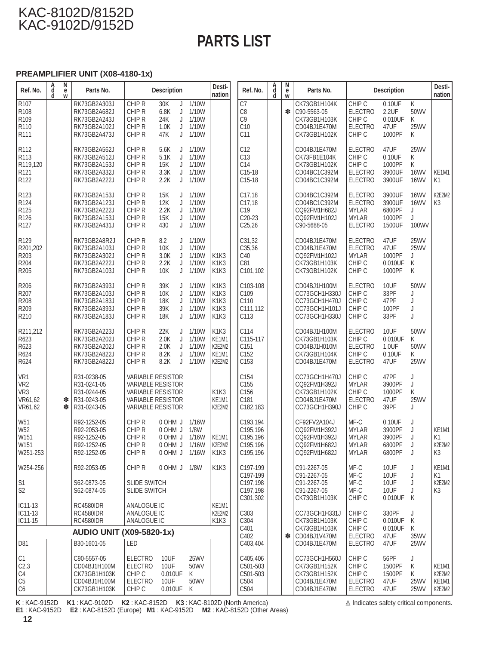# **PARTS LIST**

#### **PREAMPLIFIER UNIT (X08-4180-1x)**

| Ref. No.                                                                     | A<br>d<br>d | N<br>е<br>W | Parts No.                                                                    | <b>Description</b>                                                                                                                       |                                                                    | Desti-<br>nation                                                                                                                                                  | Ref. No.                                                      | A<br>d<br>d | N<br>е<br>W | Parts No.                                                                        |                                                                                    | <b>Description</b>                              |                                              | Desti-<br>nation                        |
|------------------------------------------------------------------------------|-------------|-------------|------------------------------------------------------------------------------|------------------------------------------------------------------------------------------------------------------------------------------|--------------------------------------------------------------------|-------------------------------------------------------------------------------------------------------------------------------------------------------------------|---------------------------------------------------------------|-------------|-------------|----------------------------------------------------------------------------------|------------------------------------------------------------------------------------|-------------------------------------------------|----------------------------------------------|-----------------------------------------|
| R107<br>R108<br>R109<br>R110<br>R111                                         |             |             | RK73GB2A303J<br>RK73GB2A682J<br>RK73GB2A243J<br>RK73GB2A102J<br>RK73GB2A473J | CHIP R<br>30K<br>CHIP R<br>6.8K<br>CHIP R<br>24K<br>CHIP R<br>1.0K<br>CHIP R<br>47K                                                      | 1/10W<br>J<br>1/10W<br>J<br>1/10W<br>J<br>1/10W<br>J<br>1/10W<br>J |                                                                                                                                                                   | C7<br>C <sub>8</sub><br>C <sub>9</sub><br>C10<br>C11          |             | $\ast$      | CK73GB1H104K<br>C90-5563-05<br>CK73GB1H103K<br>CD04BJ1E470M<br>CK73GB1H102K      | CHIP C<br><b>ELECTRO</b><br>CHIP C<br><b>ELECTRO</b><br>CHIP <sub>C</sub>          | $0.10$ UF<br>2.2UF<br>0.010UF<br>47UF<br>1000PF | K<br>50WV<br>Κ<br><b>25WV</b><br>K           |                                         |
| R112<br>R113<br>R119,120<br>R <sub>121</sub><br>R <sub>122</sub>             |             |             | RK73GB2A562J<br>RK73GB2A512J<br>RK73GB2A153J<br>RK73GB2A332J<br>RK73GB2A222J | CHIP R<br>5.6K<br>CHIP R<br>5.1K<br>CHIP R<br>15K<br>CHIP R<br>3.3K<br>CHIP R<br>2.2K                                                    | 1/10W<br>J<br>1/10W<br>J<br>1/10W<br>J<br>1/10W<br>J<br>1/10W<br>J |                                                                                                                                                                   | C12<br>C <sub>13</sub><br>C <sub>14</sub><br>C15-18<br>C15-18 |             |             | CD04BJ1E470M<br>CK73FB1E104K<br>CK73GB1H102K<br>CD04BC1C392M<br>CD04BC1C392M     | <b>ELECTRO</b><br>CHIP C<br>CHIP C<br><b>ELECTRO</b><br><b>ELECTRO</b>             | 47UF<br>0.10UF<br>1000PF<br>3900UF<br>3900UF    | <b>25WV</b><br>Κ<br>Κ<br>16WV<br><b>16WV</b> | KE1M1<br>K1                             |
| R123<br>R124<br>R <sub>125</sub><br>R <sub>126</sub><br>R127                 |             |             | RK73GB2A153J<br>RK73GB2A123J<br>RK73GB2A222J<br>RK73GB2A153J<br>RK73GB2A431J | CHIP R<br>15K<br>CHIP R<br>12K<br>CHIP R<br>2.2K<br>CHIP R<br>15K<br>CHIP R<br>430                                                       | 1/10W<br>J<br>1/10W<br>J<br>1/10W<br>J<br>J<br>1/10W<br>J 1/10W    |                                                                                                                                                                   | C17,18<br>C17,18<br>C <sub>19</sub><br>C20-23<br>C25,26       |             |             | CD04BC1C392M<br>CD04BC1C392M<br>CQ92FM1H682J<br>CQ92FM1H102J<br>C90-5688-05      | <b>ELECTRO</b><br><b>ELECTRO</b><br><b>MYLAR</b><br><b>MYLAR</b><br><b>ELECTRO</b> | 3900UF<br>3900UF<br>6800PF<br>1000PF<br>1500UF  | 16WV<br>16WV<br>J<br>J<br>100WV              | K2E2M2<br>K <sub>3</sub>                |
| R129<br>R201,202<br>R203<br>R204<br>R205                                     |             |             | RK73GB2A8R2J<br>RK73GB2A103J<br>RK73GB2A302J<br>RK73GB2A222J<br>RK73GB2A103J | CHIP R<br>8.2<br>CHIP R<br>10K<br>CHIP R<br>3.0K<br>CHIP R<br>2.2K<br>CHIP R<br>10K                                                      | J<br>1/10W<br>1/10W<br>J<br>1/10W<br>J<br>1/10W<br>J<br>J<br>1/10W | K <sub>1</sub> K <sub>3</sub><br>K <sub>1</sub> K <sub>3</sub><br>K <sub>1</sub> K <sub>3</sub>                                                                   | C31,32<br>C35,36<br>C40<br>C81<br>C101,102                    |             |             | CD04BJ1E470M<br>CD04BJ1E470M<br>CQ92FM1H102J<br>CK73GB1H103K<br>CK73GB1H102K     | <b>ELECTRO</b><br><b>ELECTRO</b><br><b>MYLAR</b><br>CHIP C<br>CHIP C               | 47UF<br>47UF<br>1000PF<br>0.010UF<br>1000PF     | <b>25WV</b><br>25WV<br>J<br>Κ<br>K           |                                         |
| R206<br>R207<br>R208<br>R209<br>R210                                         |             |             | RK73GB2A393J<br>RK73GB2A103J<br>RK73GB2A183J<br>RK73GB2A393J<br>RK73GB2A183J | CHIP R<br>39K<br>10K<br>CHIP R<br>CHIP R<br>18K<br>CHIP R<br>39K<br>CHIP R<br>18K                                                        | 1/10W<br>J<br>1/10W<br>J<br>1/10W<br>J<br>1/10W<br>J<br>1/10W<br>J | K <sub>1</sub> K <sub>3</sub><br>K <sub>1</sub> K <sub>3</sub><br>K <sub>1</sub> K <sub>3</sub><br>K <sub>1</sub> K <sub>3</sub><br>K <sub>1</sub> K <sub>3</sub> | C103-108<br>C <sub>109</sub><br>C110<br>C111,112<br>C113      |             |             | CD04BJ1H100M<br>CC73GCH1H330J<br>CC73GCH1H470J<br>CC73GCH1H101J<br>CC73GCH1H330J | <b>ELECTRO</b><br>CHIP <sub>C</sub><br>CHIP <sub>C</sub><br>CHIP C<br>CHIP C       | 10UF<br>33PF<br>47PF<br>100PF<br>33PF           | 50WV<br>J<br>J<br>J<br>J                     |                                         |
| R211,212<br>R623<br>R623<br>R624<br>R624                                     |             |             | RK73GB2A223J<br>RK73GB2A202J<br>RK73GB2A202J<br>RK73GB2A822J<br>RK73GB2A822J | CHIP R<br>22K<br>CHIP R<br>2.0K<br>CHIP R<br>2.0K<br>CHIP R<br>8.2K<br>CHIP R<br>8.2K                                                    | J<br>1/10W<br>1/10W<br>J<br>J<br>1/10W<br>J<br>1/10W<br>1/10W<br>J | K <sub>1</sub> K <sub>3</sub><br>KE1M1<br>K2E2M2<br>KE1M1<br>K2E2M2                                                                                               | C114<br>C115-117<br>C151<br>C152<br>C153                      |             |             | CD04BJ1H100M<br>CK73GB1H103K<br>CD04BJ1H010M<br>CK73GB1H104K<br>CD04BJ1E470M     | <b>ELECTRO</b><br>CHIP C<br><b>ELECTRO</b><br>CHIP C<br><b>ELECTRO</b>             | 10UF<br>0.010UF<br>1.0UF<br>0.10UF<br>47UF      | 50WV<br>Κ<br>50WV<br>K.<br><b>25WV</b>       |                                         |
| VR1<br>VR <sub>2</sub><br>VR <sub>3</sub><br>VR61,62<br>VR61,62              |             | ∗<br>∗      | R31-0238-05<br>R31-0241-05<br>R31-0244-05<br>R31-0243-05<br>R31-0243-05      | <b>VARIABLE RESISTOR</b><br><b>VARIABLE RESISTOR</b><br><b>VARIABLE RESISTOR</b><br><b>VARIABLE RESISTOR</b><br><b>VARIABLE RESISTOR</b> |                                                                    | K <sub>1</sub> K <sub>3</sub><br>KE1M1<br>K2E2M2                                                                                                                  | C154<br>C155<br>C156<br>C181<br>C182.183                      |             |             | CC73GCH1H470J<br>CQ92FM1H392J<br>CK73GB1H102K<br>CD04BJ1E470M<br>CC73GCH1H390J   | CHIP C<br><b>MYLAR</b><br>CHIP C<br><b>ELECTRO</b><br>CHIP <sub>C</sub>            | 47PF<br>3900PF<br>1000PF<br>47UF<br>39PF        | J<br>J<br>Κ<br><b>25WV</b><br>J.             |                                         |
| W <sub>51</sub><br>W <sub>52</sub><br>W151<br>W151<br>W251-253               |             |             | R92-1252-05<br>R92-2053-05<br>R92-1252-05<br>R92-1252-05<br>R92-1252-05      | CHIP R<br>0 OHM J<br>CHIP R<br>0 OHM J<br>CHIP R<br>0 OHM J<br>CHIP R<br>CHIP R                                                          | 1/16W<br>1/8W<br>1/16W<br>0 OHM J 1/16W<br>0 OHM J 1/16W           | KE1M1<br>K2E2M2<br>K <sub>1</sub> K <sub>3</sub>                                                                                                                  | C193,194<br>C195,196<br>C195,196<br>C195, 196<br>C195,196     |             |             | CF92FV2A104J<br>CQ92FM1H392J<br>CQ92FM1H392J<br>CQ92FM1H682J<br>CQ92FM1H682J     | MF-C<br><b>MYLAR</b><br><b>MYLAR</b><br><b>MYLAR</b><br><b>MYLAR</b>               | 0.10UF<br>3900PF<br>3900PF<br>6800PF<br>6800PF  | J<br>J<br>J<br>J                             | KE1M1<br>K1<br>K2E2M2<br>K <sub>3</sub> |
| W254-256                                                                     |             |             | R92-2053-05                                                                  | CHIP R                                                                                                                                   | 0 OHM J 1/8W                                                       | K <sub>1</sub> K <sub>3</sub>                                                                                                                                     | C197-199<br>C197-199                                          |             |             | C91-2267-05<br>C91-2267-05                                                       | MF-C<br>MF-C                                                                       | 10UF<br>10UF                                    | J<br>J                                       | KE1M1<br>K1                             |
| S <sub>1</sub><br>S <sub>2</sub>                                             |             |             | S62-0873-05<br>S62-0874-05                                                   | <b>SLIDE SWITCH</b><br><b>SLIDE SWITCH</b>                                                                                               |                                                                    |                                                                                                                                                                   | C197,198<br>C197,198<br>C301,302                              |             |             | C91-2267-05<br>C91-2267-05<br>CK73GB1H103K                                       | MF-C<br>MF-C<br>CHIP C                                                             | 10UF<br>10UF<br>0.010UF                         | J<br>J<br>K                                  | K2E2M2<br>K3                            |
| IC11-13<br>IC11-13<br>IC11-15                                                |             |             | <b>RC4580IDR</b><br><b>RC4580IDR</b><br><b>RC4580IDR</b>                     | ANALOGUE IC<br>ANALOGUE IC<br>ANALOGUE IC                                                                                                |                                                                    | KE1M1<br>K2E2M2<br>K <sub>1</sub> K <sub>3</sub>                                                                                                                  | C303<br>C304                                                  |             |             | CC73GCH1H331J<br>CK73GB1H103K                                                    | CHIP C<br>CHIP C                                                                   | 330PF<br>0.010UF                                | J<br>K                                       |                                         |
|                                                                              |             |             | <b>AUDIO UNIT (X09-5820-1x)</b>                                              |                                                                                                                                          |                                                                    |                                                                                                                                                                   | C401<br>C402                                                  |             | ∗           | CK73GB1H103K<br>CD04BJ1V470M                                                     | CHIP C<br><b>ELECTRO</b>                                                           | 0.010UF<br>47UF                                 | Κ<br>35WV                                    |                                         |
| D81                                                                          |             |             | B30-1601-05                                                                  | LED                                                                                                                                      |                                                                    |                                                                                                                                                                   | C403,404                                                      |             |             | CD04BJ1E470M                                                                     | <b>ELECTRO</b>                                                                     | 47UF                                            | 25WV                                         |                                         |
| C1<br>C <sub>2,3</sub><br>C <sub>4</sub><br>C <sub>5</sub><br>C <sub>6</sub> |             |             | C90-5557-05<br>CD04BJ1H100M<br>CK73GB1H103K<br>CD04BJ1H100M<br>CK73GB1H103K  | <b>ELECTRO</b><br>10UF<br>10UF<br><b>ELECTRO</b><br>CHIP C<br>0.010UF<br><b>ELECTRO</b><br>10UF<br>CHIP C<br>0.010UF                     | <b>25WV</b><br>50WV<br>K<br>50WV<br>K                              |                                                                                                                                                                   | C405,406<br>C501-503<br>C501-503<br>C504<br>C504              |             |             | CC73GCH1H560J<br>CK73GB1H152K<br>CK73GB1H152K<br>CD04BJ1E470M<br>CD04BJ1E470M    | CHIP C<br>CHIP C<br>CHIP C<br><b>ELECTRO</b><br><b>ELECTRO</b>                     | 56PF<br>1500PF<br>1500PF<br>47UF<br>47UF        | J<br>Κ<br>Κ<br>25WV<br>25WV                  | KE1M1<br>K2E2M2<br>KE1M1<br>K2E2M2      |

**K** : KAC-9152D **K1** : KAC-9102D **K2** : KAC-8152D **K3** : KAC-8102D (North America) **E1** : KAC-9152D **E2** : KAC-8152D (Europe) **M1** : KAC-9152D **M2** : KAC-8152D (Other Areas)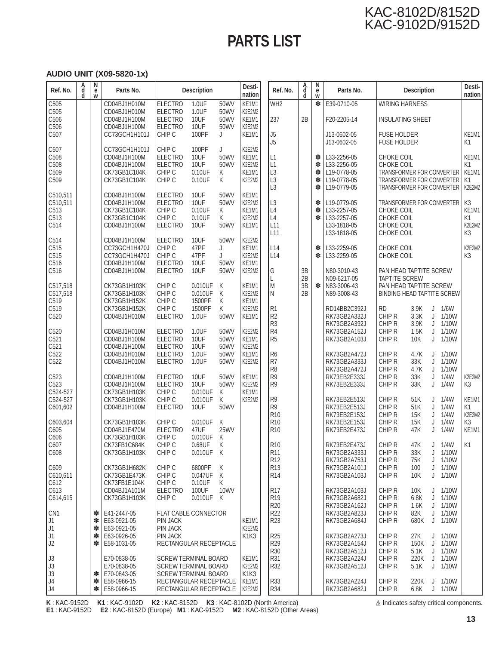# **PARTS LIST**

#### **AUDIO UNIT (X09-5820-1x)**

| Ref. No.                                     | A<br>d<br>ď | N<br>e<br>W | Parts No.                                                                     |                                                                                           | <b>Description</b>                        |                                | Desti-<br>nation                                                     | Ref. No.                                                       | A<br>d<br>d          | N<br>е<br>W           | Parts No.                                                               |                                                                                                                 | <b>Description</b>   |             |                         | Desti-<br>nation                                             |
|----------------------------------------------|-------------|-------------|-------------------------------------------------------------------------------|-------------------------------------------------------------------------------------------|-------------------------------------------|--------------------------------|----------------------------------------------------------------------|----------------------------------------------------------------|----------------------|-----------------------|-------------------------------------------------------------------------|-----------------------------------------------------------------------------------------------------------------|----------------------|-------------|-------------------------|--------------------------------------------------------------|
| C505                                         |             |             | CD04BJ1H010M                                                                  | <b>ELECTRO</b>                                                                            | 1.0UF                                     | 50WV                           | KE1M1                                                                | WH <sub>2</sub>                                                |                      | ∗                     | E39-0710-05                                                             | <b>WIRING HARNESS</b>                                                                                           |                      |             |                         |                                                              |
| C505<br>C506                                 |             |             | CD04BJ1H010M<br>CD04BJ1H100M                                                  | <b>ELECTRO</b><br><b>ELECTRO</b>                                                          | 1.0UF<br>10UF                             | 50WV<br>50WV                   | K2E2M2<br>KE1M1                                                      | 237                                                            | 2B                   |                       | F20-2205-14                                                             | <b>INSULATING SHEET</b>                                                                                         |                      |             |                         |                                                              |
| C506<br>C507                                 |             |             | CD04BJ1H100M<br>CC73GCH1H101J                                                 | <b>ELECTRO</b><br>CHIP C                                                                  | 10UF<br>100PF                             | 50WV<br>J                      | K2E2M2<br>KE1M1                                                      | J5<br>J <sub>5</sub>                                           |                      |                       | J13-0602-05<br>J13-0602-05                                              | <b>FUSE HOLDER</b><br><b>FUSE HOLDER</b>                                                                        |                      |             |                         | KE1M1<br>K1                                                  |
| C507<br>C508<br>C508<br>C509<br>C509         |             |             | CC73GCH1H101J<br>CD04BJ1H100M<br>CD04BJ1H100M<br>CK73GB1C104K<br>CK73GB1C104K | CHIP C<br><b>ELECTRO</b><br><b>ELECTRO</b><br>CHIP C<br>CHIP C                            | 100PF<br>10UF<br>10UF<br>0.10UF<br>0.10UF | J<br>50WV<br>50WV<br>Κ<br>Κ    | K2E2M2<br>KE1M1<br>K2E2M2<br>KE1M1<br>K2E2M2                         | L1<br>L1<br>L <sub>3</sub><br>L <sub>3</sub><br>L <sub>3</sub> |                      | ∗<br>∗<br>∗<br>∗<br>∗ | L33-2256-05<br>L33-2256-05<br>L19-0778-05<br>L19-0778-05<br>L19-0779-05 | CHOKE COIL<br>CHOKE COIL<br>TRANSFORMER FOR CONVERTER<br>TRANSFORMER FOR CONVERTER<br>TRANSFORMER FOR CONVERTER |                      |             |                         | KE1M1<br>K <sub>1</sub><br>KE1M1<br>K <sub>1</sub><br>K2E2M2 |
| C510,511<br>C510,511<br>C513<br>C513<br>C514 |             |             | CD04BJ1H100M<br>CD04BJ1H100M<br>CK73GB1C104K<br>CK73GB1C104K<br>CD04BJ1H100M  | <b>ELECTRO</b><br><b>ELECTRO</b><br>CHIP C<br>CHIP C<br><b>ELECTRO</b>                    | 10UF<br>10UF<br>0.10UF<br>0.10UF<br>10UF  | 50WV<br>50WV<br>Κ<br>Κ<br>50WV | KE1M1<br>K2E2M2<br>KE1M1<br>K2E2M2<br>KE <sub>1</sub> M <sub>1</sub> | L <sub>3</sub><br>L4<br>L4<br>L11<br>L11                       |                      | ∗<br>∗<br>*           | L19-0779-05<br>L33-2257-05<br>L33-2257-05<br>L33-1818-05<br>L33-1818-05 | TRANSFORMER FOR CONVERTER<br>CHOKE COIL<br>CHOKE COIL<br>CHOKE COIL<br>CHOKE COIL                               |                      |             |                         | K3<br>KE1M1<br>K1<br>K2E2M2<br>K <sub>3</sub>                |
| C514<br>C515<br>C515<br>C516                 |             |             | CD04BJ1H100M<br>CC73GCH1H470J<br>CC73GCH1H470J<br>CD04BJ1H100M                | <b>ELECTRO</b><br>CHIP C<br>CHIP C<br><b>ELECTRO</b>                                      | 10UF<br>47PF<br>47PF<br>10UF              | 50WV<br>J<br>J<br>50WV         | K2E2M2<br>KE1M1<br>K2E2M2<br>KE <sub>1</sub> M <sub>1</sub>          | L14<br>L14                                                     |                      | *<br>*                | L33-2259-05<br>L33-2259-05                                              | CHOKE COIL<br>CHOKE COIL                                                                                        |                      |             |                         | K2E2M2<br>K <sub>3</sub>                                     |
| C516<br>C517,518<br>C517,518                 |             |             | CD04BJ1H100M<br>CK73GB1H103K<br>CK73GB1H103K                                  | <b>ELECTRO</b><br>CHIP C<br>CHIP C                                                        | 10UF<br>0.010UF<br>0.010UF                | 50WV<br>Κ<br>К                 | K2E2M2<br>KE1M1<br>K2E2M2                                            | G<br>L<br>M<br>N                                               | 3B<br>2B<br>3B<br>2B | $\ast$                | N80-3010-43<br>N09-6217-05<br>N83-3006-43<br>N89-3008-43                | PAN HEAD TAPTITE SCREW<br><b>TAPTITE SCREW</b><br>PAN HEAD TAPTITE SCREW<br><b>BINDING HEAD TAPTITE SCREW</b>   |                      |             |                         |                                                              |
| C519<br>C519<br>C520                         |             |             | CK73GB1H152K<br>CK73GB1H152K<br>CD04BJ1H010M                                  | CHIP C<br>CHIP C<br><b>ELECTRO</b>                                                        | 1500PF<br>1500PF<br>1.0UF                 | Κ<br>Κ<br>50WV                 | KE1M1<br>K2E2M2<br>KE1M1                                             | R <sub>1</sub><br>R <sub>2</sub><br>R <sub>3</sub>             |                      |                       | RD14BB2C392J<br>RK73GB2A332J<br>RK73GB2A392J                            | <b>RD</b><br>CHIP R<br>CHIP R                                                                                   | 3.9K<br>3.3K<br>3.9K | J<br>J<br>J | 1/6W<br>1/10W<br>1/10W  |                                                              |
| C520<br>C521<br>C521                         |             |             | CD04BJ1H010M<br>CD04BJ1H100M<br>CD04BJ1H100M                                  | <b>ELECTRO</b><br><b>ELECTRO</b><br><b>ELECTRO</b>                                        | 1.0UF<br>10UF<br>10UF<br>1.0UF            | 50WV<br>50WV<br>50WV           | K2E2M2<br>KE1M1<br>K2E2M2                                            | R <sub>4</sub><br>R <sub>5</sub><br>R <sub>6</sub>             |                      |                       | RK73GB2A152J<br>RK73GB2A103J                                            | CHIP R<br>CHIP R<br>CHIP R                                                                                      | 1.5K<br>10K          | J<br>J      | 1/10W<br>1/10W<br>1/10W |                                                              |
| C522<br>C522                                 |             |             | CD04BJ1H010M<br>CD04BJ1H010M                                                  | <b>ELECTRO</b><br><b>ELECTRO</b>                                                          | 1.0UF                                     | 50WV<br>50WV                   | KE1M1<br>K2E2M2                                                      | R7<br>R <sub>8</sub>                                           |                      |                       | RK73GB2A472J<br>RK73GB2A333J<br>RK73GB2A472J                            | CHIP R<br>CHIP R                                                                                                | 4.7K<br>33K<br>4.7K  | J<br>J<br>J | 1/10W<br>1/10W          |                                                              |
| C523<br>C523<br>C524-527                     |             |             | CD04BJ1H100M<br>CD04BJ1H100M<br>CK73GB1H103K                                  | <b>ELECTRO</b><br><b>ELECTRO</b><br>CHIP C                                                | 10UF<br>10UF<br>0.010UF                   | 50WV<br>50WV<br>Κ              | KE1M1<br>K2E2M2<br>KE1M1                                             | R <sub>9</sub><br>R <sub>9</sub>                               |                      |                       | RK73EB2E333J<br>RK73EB2E333J                                            | CHIP R<br>CHIP R                                                                                                | 33K<br>33K           | J<br>J      | 1/4W<br>1/4W            | K2E2M2<br>K <sub>3</sub>                                     |
| C524-527<br>C601,602                         |             |             | CK73GB1H103K<br>CD04BJ1H100M                                                  | CHIP C<br><b>ELECTRO</b>                                                                  | 0.010UF<br>10UF                           | Κ<br>50WV                      | K2E2M2                                                               | R <sub>9</sub><br>R <sub>9</sub><br>R <sub>10</sub>            |                      |                       | RK73EB2E513J<br>RK73EB2E513J<br>RK73EB2E153J                            | CHIP R<br>CHIP R<br>CHIP R                                                                                      | 51K<br>51K<br>15K    | J<br>J<br>J | 1/4W<br>1/4W<br>1/4W    | KE1M1<br>K1<br>K2E2M2                                        |
| C603,604<br>C605<br>C606                     |             |             | CK73GB1H103K<br>CD04BJ1E470M<br>CK73GB1H103K                                  | CHIP C<br><b>ELECTRO</b><br>CHIP C                                                        | 0.010UF<br>47UF<br>0.010UF                | Κ<br><b>25WV</b><br>K          |                                                                      | R <sub>10</sub><br>R <sub>10</sub>                             |                      |                       | RK73EB2E153J<br>RK73EB2E473J                                            | CHIP R<br>CHIP R                                                                                                | 15K<br>47K           | J<br>J      | 1/4W<br>1/4W            | K3<br>KE1M1                                                  |
| C607<br>C608                                 |             |             | CK73FB1C684K<br>CK73GB1H103K                                                  | CHIP C<br>CHIP C                                                                          | 0.68UF<br>0.010UF K                       | K                              |                                                                      | R <sub>10</sub><br>R <sub>11</sub>                             |                      |                       | RK73EB2E473J<br>RK73GB2A333J                                            | CHIP R<br>CHIP R                                                                                                | 47K<br>33K           | J           | $J$ 1/4W<br>1/10W       | K1                                                           |
| C609<br>C610,611<br>C612                     |             |             | CK73GB1H682K<br>CK73GB1E473K<br>CK73FB1E104K                                  | CHIP C<br>CHIP C<br>CHIP C                                                                | 6800PF<br>0.047UF<br>0.10UF               | K<br>Κ<br>K                    |                                                                      | R <sub>12</sub><br>R <sub>13</sub><br>R <sub>14</sub>          |                      |                       | RK73GB2A753J<br>RK73GB2A101J<br>RK73GB2A103J                            | CHIP R<br>CHIP R<br>CHIP R                                                                                      | 75K<br>100<br>10K    | J<br>J<br>J | 1/10W<br>1/10W<br>1/10W |                                                              |
| C613<br>C614,615                             |             |             | CD04BJ1A101M<br>CK73GB1H103K                                                  | <b>ELECTRO</b><br>CHIP C                                                                  | 100UF<br>0.010UF K                        | 10WV                           |                                                                      | <b>R17</b><br>R <sub>19</sub><br>R <sub>20</sub>               |                      |                       | RK73GB2A103J<br>RK73GB2A682J<br>RK73GB2A162J                            | CHIP R<br>CHIP R<br>CHIP R                                                                                      | 10K<br>6.8K<br>1.6K  | J<br>J<br>J | 1/10W<br>1/10W<br>1/10W |                                                              |
| CN <sub>1</sub><br>J1<br>J1                  |             | ∗<br>∗<br>∗ | E41-2447-05<br>E63-0921-05<br>E63-0921-05                                     | <b>FLAT CABLE CONNECTOR</b><br><b>PIN JACK</b><br><b>PIN JACK</b>                         |                                           |                                | KE1M1<br>K2E2M2                                                      | R <sub>22</sub><br>R <sub>23</sub>                             |                      |                       | RK73GB2A823J<br>RK73GB2A684J                                            | CHIP R<br>CHIP R                                                                                                | 82K<br>680K          | J           | $J$ 1/10W<br>1/10W      |                                                              |
| J <sub>1</sub><br>J2                         |             | ∗<br>∗      | E63-0926-05<br>E58-1031-05                                                    | <b>PIN JACK</b><br>RECTANGULAR RECEPTACLE                                                 |                                           |                                | K <sub>1</sub> K <sub>3</sub>                                        | R <sub>25</sub><br>R <sub>29</sub><br>R30                      |                      |                       | RK73GB2A273J<br>RK73GB2A154J<br>RK73GB2A512J                            | CHIP R<br>CHIP R<br>CHIP R                                                                                      | 27K<br>150K<br>5.1K  | J<br>J<br>J | 1/10W<br>1/10W<br>1/10W |                                                              |
| J3<br>J3<br>J3                               |             |             | E70-0838-05<br>E70-0838-05<br>E70-0843-05                                     | <b>SCREW TERMINAL BOARD</b><br><b>SCREW TERMINAL BOARD</b><br><b>SCREW TERMINAL BOARD</b> |                                           |                                | KE1M1<br>K2E2M2<br>K <sub>1</sub> K <sub>3</sub>                     | R31<br>R32                                                     |                      |                       | RK73GB2A224J<br>RK73GB2A512J                                            | CHIP R<br>CHIP R                                                                                                | 220K<br>5.1K         | J           | 1/10W<br>$J$ 1/10W      |                                                              |
| J <sub>4</sub><br>J <sub>4</sub>             |             | ∗<br>∗<br>∗ | E58-0966-15<br>E58-0966-15                                                    | RECTANGULAR RECEPTACLE<br>RECTANGULAR RECEPTACLE                                          |                                           |                                | KE1M1<br>K2E2M2                                                      | R33<br><b>R34</b>                                              |                      |                       | RK73GB2A224J<br>RK73GB2A682J                                            | CHIP R<br>CHIP R                                                                                                | 220K<br>6.8K         |             | $J$ 1/10W<br>$J$ 1/10W  |                                                              |

**K** : KAC-9152D **K1** : KAC-9102D **K2** : KAC-8152D **K3** : KAC-8102D (North America) **E1** : KAC-9152D **E2** : KAC-8152D (Europe) **M1** : KAC-9152D **M2** : KAC-8152D (Other Areas)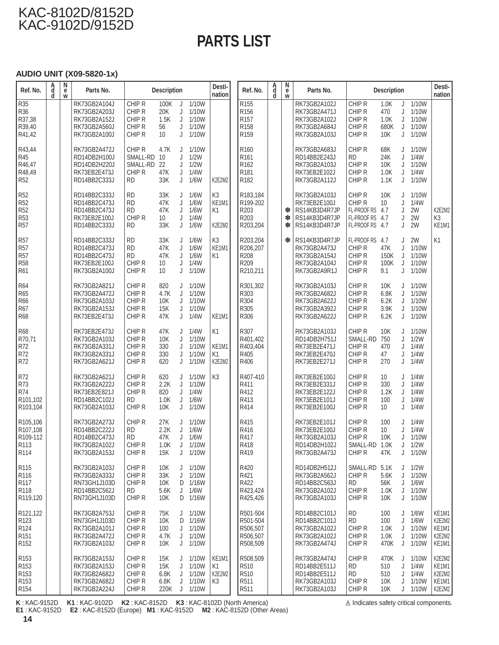# **PARTS LIST**

#### **AUDIO UNIT (X09-5820-1x)**

| Ref. No.                                                                                              | A<br>d<br>d | N<br>e<br>W | Parts No.                                                                    |                                                            | <b>Description</b>                        |                             |                                                       | Desti-<br>nation                          | Ref. No.                                                                 | A<br>d<br>d | N<br>e<br>W | Parts No.                                                                       |                                                                                | <b>Description</b>                   |                       |                                             | Desti-<br>nation                             |
|-------------------------------------------------------------------------------------------------------|-------------|-------------|------------------------------------------------------------------------------|------------------------------------------------------------|-------------------------------------------|-----------------------------|-------------------------------------------------------|-------------------------------------------|--------------------------------------------------------------------------|-------------|-------------|---------------------------------------------------------------------------------|--------------------------------------------------------------------------------|--------------------------------------|-----------------------|---------------------------------------------|----------------------------------------------|
| <b>R35</b><br>R36<br>R37,38<br>R39,40<br>R41.42                                                       |             |             | RK73GB2A104J<br>RK73GB2A203J<br>RK73GB2A152J<br>RK73GB2A560J<br>RK73GB2A100J | CHIP R<br>CHIP R<br>CHIP R<br>CHIP R<br>CHIP R             | 100K<br>20K<br>1.5K<br>56<br>10           | J<br>J<br>J<br>J<br>J       | 1/10W<br>1/10W<br>1/10W<br>1/10W<br>1/10W             |                                           | R <sub>155</sub><br>R156<br>R <sub>157</sub><br>R158<br>R <sub>159</sub> |             |             | RK73GB2A102J<br>RK73GB2A471J<br>RK73GB2A102J<br>RK73GB2A684J<br>RK73GB2A103J    | CHIP R<br>CHIP R<br>CHIP R<br>CHIP R<br>CHIP R                                 | 1.0K<br>470<br>1.0K<br>680K<br>10K   | J<br>J<br>J<br>J<br>J | 1/10W<br>1/10W<br>1/10W<br>1/10W<br>1/10W   |                                              |
| R43,44<br>R45<br>R46,47<br>R48,49<br>R <sub>52</sub>                                                  |             |             | RK73GB2A472J<br>RD14DB2H100J<br>RD14DB2H220J<br>RK73EB2E473J<br>RD14BB2C333J | CHIP R<br>SMALL-RD<br>SMALL-RD<br>CHIP R<br><b>RD</b>      | 4.7K<br>10<br>22<br>47K<br>33K            | J<br>J<br>J<br>J<br>J       | 1/10W<br>1/2W<br>1/2W<br>1/4W<br>1/6W                 | K2E2M2                                    | R <sub>160</sub><br>R161<br>R <sub>162</sub><br>R <sub>181</sub><br>R182 |             |             | RK73GB2A683J<br>RD14BB2E243J<br>RK73GB2A103J<br>RK73EB2E102J<br>RK73GB2A112J    | CHIP R<br><b>RD</b><br>CHIP R<br>CHIP R<br>CHIP R                              | 68K<br>24K<br>10K<br>1.0K<br>1.1K    | J<br>J<br>J<br>J<br>J | 1/10W<br>1/4W<br>1/10W<br>1/4W<br>1/10W     |                                              |
| R <sub>52</sub><br>R <sub>52</sub><br>R <sub>52</sub><br>R53<br>R <sub>57</sub>                       |             |             | RD14BB2C333J<br>RD14BB2C473J<br>RD14BB2C473J<br>RK73EB2E100J<br>RD14BB2C333J | <b>RD</b><br><b>RD</b><br><b>RD</b><br>CHIP R<br><b>RD</b> | 33K<br>47K<br>47K<br>10<br>33K            | J<br>J<br>J<br>J<br>J       | 1/6W<br>1/6W<br>1/6W<br>1/4W<br>1/6W                  | K <sub>3</sub><br>KE1M1<br>K1<br>K2E2M2   | R183,184<br>R199-202<br>R203<br>R203<br>R203,204                         |             | ∗<br>∗<br>∗ | RK73GB2A103J<br>RK73EB2E100J<br>RS14KB3D4R7JP<br>RS14KB3D4R7JP<br>RS14KB3D4R7JP | CHIP R<br>CHIP R<br>FL-PROOF RS 4.7<br>FL-PROOF RS<br>FL-PROOF RS 4.7          | 10K<br>10 <sup>°</sup><br>4.7        | J<br>J<br>J<br>J<br>J | 1/10W<br>1/4W<br>2W<br>2W<br>2W             | K2E2M2<br>K3<br>KE1M1                        |
| R <sub>57</sub><br>R <sub>57</sub><br>R <sub>57</sub><br>R58<br>R61                                   |             |             | RD14BB2C333J<br>RD14BB2C473J<br>RD14BB2C473J<br>RK73EB2E100J<br>RK73GB2A100J | <b>RD</b><br><b>RD</b><br><b>RD</b><br>CHIP R<br>CHIP R    | 33K<br>47K<br>47K<br>10<br>10             | J<br>J<br>J<br>J<br>J       | 1/6W<br>1/6W<br>1/6W<br>1/4W<br>1/10W                 | K <sub>3</sub><br>KE1M1<br>K <sub>1</sub> | R203.204<br>R206,207<br>R208<br>R209<br>R210.211                         |             | $\ast$      | RS14KB3D4R7JP<br>RK73GB2A473J<br>RK73GB2A154J<br>RK73GB2A104J<br>RK73GB2A9R1J   | FL-PROOF RS<br>CHIP R<br>CHIP R<br>CHIP R<br>CHIP R                            | 4.7<br>47K<br>150K<br>100K<br>9.1    | J<br>J<br>J<br>J<br>J | 2W<br>1/10W<br>1/10W<br>1/10W<br>1/10W      | K1                                           |
| <b>R64</b><br>R65<br>R66<br><b>R67</b><br>R68                                                         |             |             | RK73GB2A821J<br>RK73GB2A472J<br>RK73GB2A103J<br>RK73GB2A153J<br>RK73EB2E473J | CHIP R<br>CHIP R<br>CHIP R<br>CHIP R<br>CHIP R             | 820<br>4.7K<br>10K<br>15K<br>47K          | J<br>J<br>J<br>J<br>J       | 1/10W<br>1/10W<br>1/10W<br>1/10W<br>1/4W              | KE1M1                                     | R301,302<br>R303<br>R304<br>R305<br>R306                                 |             |             | RK73GB2A103J<br>RK73GB2A682J<br>RK73GB2A622J<br>RK73GB2A392J<br>RK73GB2A622J    | CHIP R<br>CHIP R<br>CHIP R<br>CHIP R<br>CHIP R                                 | 10K<br>6.8K<br>6.2K<br>3.9K<br>6.2K  | J<br>J<br>J<br>J<br>J | 1/10W<br>1/10W<br>1/10W<br>1/10W<br>1/10W   |                                              |
| R68<br>R70,71<br>R72<br>R72<br>R72                                                                    |             |             | RK73EB2E473J<br>RK73GB2A103J<br>RK73GB2A331J<br>RK73GB2A331J<br>RK73GB2A621J | CHIP R<br>CHIP R<br>CHIP R<br>CHIP R<br>CHIP R             | 47K<br>10K<br>330<br>330<br>620           | J<br>J<br>J<br>J<br>J       | 1/4W<br>1/10W<br>1/10W<br>1/10W<br>1/10W              | K1<br>KE1M1<br>Κ1<br>K2E2M2               | R307<br>R401,402<br>R403,404<br>R405<br>R406                             |             |             | RK73GB2A103J<br>RD14DB2H751J<br>RK73EB2E471J<br>RK73EB2E470J<br>RK73EB2E271J    | CHIP R<br>SMALL-RD 750<br>CHIP R<br>CHIP R<br>CHIP R                           | 10K<br>470<br>47<br>270              | J<br>J<br>J<br>J<br>J | 1/10W<br>1/2W<br>1/4W<br>1/4W<br>1/4W       |                                              |
| R72<br>R73<br>R74<br>R101,102<br>R103,104                                                             |             |             | RK73GB2A621J<br>RK73GB2A222J<br>RK73EB2E821J<br>RD14BB2C102J<br>RK73GB2A103J | CHIP R<br>CHIP R<br>CHIP R<br><b>RD</b><br>CHIP R          | 620<br>2.2K<br>820<br>1.0K<br>10K         | J<br>J<br>J<br>J            | J 1/10W<br>1/10W<br>1/4W<br>1/6W<br>1/10W             | K <sub>3</sub>                            | R407-410<br>R411<br>R412<br>R413<br>R414                                 |             |             | RK73EB2E100J<br>RK73EB2E331J<br>RK73EB2E122J<br>RK73EB2E101J<br>RK73EB2E100J    | CHIP R<br>CHIP R<br>CHIP R<br>CHIP R<br>CHIP R                                 | 10<br>330<br>1.2K<br>100<br>10       | J<br>J<br>J<br>J<br>J | 1/4W<br>1/4W<br>1/4W<br>1/4W<br>1/4W        |                                              |
| R105,106<br>R107.108<br>R109-112<br>R113<br>R <sub>114</sub>                                          |             |             | RK73GB2A273J<br>RD14BB2C222J<br>RD14BB2C473J<br>RK73GB2A102J<br>RK73GB2A153J | CHIP R<br><b>RD</b><br><b>RD</b><br>CHIP R<br>CHIP R       | 27K<br>2.2K<br>47K<br>1.0K J 1/10W<br>15K | J<br>J<br>J                 | 1/10W<br>1/6W<br>1/6W<br>$J$ 1/10W                    |                                           | R415<br>R416<br>R417<br>R418<br>R419                                     |             |             | RK73EB2E101J<br>RK73EB2E100J<br>RK73GB2A103J<br>RD14DB2H102J<br>RK73GB2A473J    | CHIP R<br>CHIP R<br>CHIP R<br>SMALL-RD 1.0K<br>CHIP <sub>R</sub>               | 100<br>10 <sup>°</sup><br>10K<br>47K | J<br>J<br>J<br>J      | 1/4W<br>1/4W<br>1/10W<br>1/2W<br>$J$ 1/10W  |                                              |
| R <sub>115</sub><br>R116<br>R <sub>117</sub><br>R118<br>R119,120                                      |             |             | RK73GB2A103J<br>RK73GB2A333J<br>RN73GH1J103D<br>RD14BB2C562J<br>RN73GH1J103D | CHIP R<br>CHIP R<br>CHIP R<br><b>RD</b><br>CHIP R          | 10K<br>33K<br>10K<br>5.6K<br>10K          | J                           | $J$ 1/10W<br>$J$ 1/10W<br>D 1/16W<br>1/6W<br>D 1/16W  |                                           | R420<br>R421<br>R422<br>R423,424<br>R425,426                             |             |             | RD14DB2H512J<br>RK73GB2A562J<br>RD14BB2C563J<br>RK73GB2A102J<br>RK73GB2A103J    | SMALL-RD 5.1K<br>CHIP R<br><b>RD</b><br>CHIP <sub>R</sub><br>CHIP <sub>R</sub> | 5.6K<br>56K<br>1.0K<br>10K           | J<br>J<br>J<br>J<br>J | 1/2W<br>1/10W<br>1/6W<br>1/10W<br>1/10W     |                                              |
| R <sub>121</sub> ,122<br>R <sub>123</sub><br>R <sub>124</sub><br>R <sub>151</sub><br>R <sub>152</sub> |             |             | RK73GB2A753J<br>RN73GH1J103D<br>RK73GB2A101J<br>RK73GB2A472J<br>RK73GB2A103J | CHIP R<br>CHIP R<br>CHIP R<br>CHIP R<br>CHIP R             | 75K<br>10K<br>100<br>4.7K<br>10K          | D<br>J                      | $J$ 1/10W<br>1/16W<br>$J$ 1/10W<br>1/10W<br>$J$ 1/10W |                                           | R501-504<br>R501-504<br>R506,507<br>R506,507<br>R508.509                 |             |             | RD14BB2C101J<br>RD14BB2C101J<br>RK73GB2A102J<br>RK73GB2A102J<br>RK73GB2A474J    | <b>RD</b><br><b>RD</b><br>CHIP <sub>R</sub><br>CHIP R<br>CHIP R                | 100<br>100<br>1.0K<br>1.0K<br>470K   | J<br>J<br>J<br>J<br>J | 1/6W<br>1/6W<br>1/10W<br>1/10W<br>1/10W     | KE1M1<br>K2E2M2<br>KE1M1<br>K2E2M2<br>KE1M1  |
| R <sub>153</sub><br>R <sub>153</sub><br>R <sub>153</sub><br>R <sub>153</sub><br>R <sub>154</sub>      |             |             | RK73GB2A153J<br>RK73GB2A153J<br>RK73GB2A682J<br>RK73GB2A682J<br>RK73GB2A224J | CHIP R<br>CHIP R<br>CHIP R<br>CHIP R<br>CHIP R             | 15K<br>15K<br>6.8K<br>6.8K<br>220K        | $\sf J$<br>J<br>J<br>J<br>J | 1/10W<br>1/10W<br>1/10W<br>1/10W<br>1/10W             | KE1M1<br>K1<br>K2E2M2<br>K3               | R508,509<br>R510<br>R510<br>R511<br>R511                                 |             |             | RK73GB2A474J<br>RD14BB2E511J<br>RD14BB2E511J<br>RK73GB2A103J<br>RK73GB2A103J    | CHIP R<br><b>RD</b><br><b>RD</b><br>CHIP R<br>CHIP R                           | 470K<br>510<br>510<br>10K<br>10K     | J<br>J<br>J<br>J      | 1/10W<br>1/4W<br>1/4W<br>1/10W<br>$J$ 1/10W | K2E2M2<br>KE1M1<br>K2E2M2<br>KE1M1<br>K2E2M2 |

**K** : KAC-9152D **K1** : KAC-9102D **K2** : KAC-8152D **K3** : KAC-8102D (North America) **E1** : KAC-9152D **E2** : KAC-8152D (Europe) **M1** : KAC-9152D **M2** : KAC-8152D (Other Areas)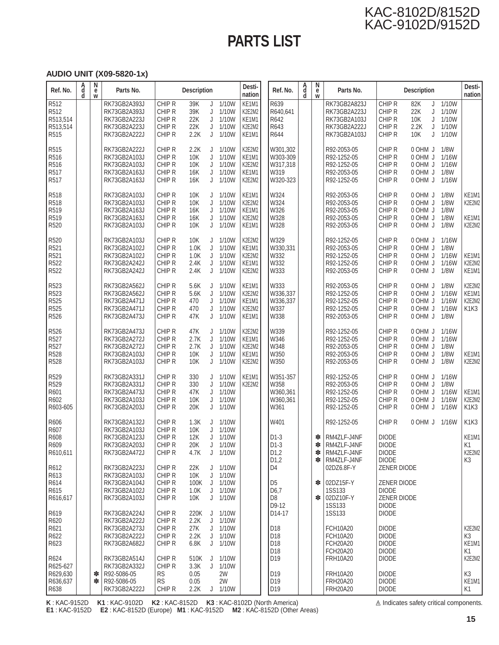# **PARTS LIST**

#### **AUDIO UNIT (X09-5820-1x)**

| Ref. No.                                                 | A<br>d<br>d | N<br>${\bf e}$<br>W | Parts No.                                                                                    |                                                           | <b>Description</b>                          |                            |                                                             | Desti-<br>nation                                                     | Ref. No.                                                                                                           | A<br>d<br>d | N<br>е<br>W      | Parts No.                                                                               |                                                                                              | <b>Description</b>                                        |                                           | Desti-<br>nation                                                          |
|----------------------------------------------------------|-------------|---------------------|----------------------------------------------------------------------------------------------|-----------------------------------------------------------|---------------------------------------------|----------------------------|-------------------------------------------------------------|----------------------------------------------------------------------|--------------------------------------------------------------------------------------------------------------------|-------------|------------------|-----------------------------------------------------------------------------------------|----------------------------------------------------------------------------------------------|-----------------------------------------------------------|-------------------------------------------|---------------------------------------------------------------------------|
| R512<br>R512<br>R513,514<br>R513,514<br>R <sub>515</sub> |             |                     | RK73GB2A393J<br>RK73GB2A393J<br>RK73GB2A223J<br>RK73GB2A223J<br>RK73GB2A222J                 | CHIP <sub>R</sub><br>CHIP R<br>CHIP R<br>CHIP R<br>CHIP R | 39K<br>39K<br>22K<br>22K<br>2.2K            | J<br>J<br>J<br>J<br>J      | 1/10W<br>1/10W<br>1/10W<br>1/10W<br>1/10W                   | KE <sub>1</sub> M <sub>1</sub><br>K2E2M2<br>KE1M1<br>K2E2M2<br>KE1M1 | R639<br>R640,641<br>R642<br>R643<br>R644                                                                           |             |                  | RK73GB2A823J<br>RK73GB2A223J<br>RK73GB2A103J<br>RK73GB2A222J<br>RK73GB2A103J            | CHIP R<br>CHIP R<br>CHIP R<br>CHIP R<br>CHIP R                                               | 82K<br>J<br>22K<br>J<br>10K<br>J<br>2.2K<br>J<br>10K<br>J | 1/10W<br>1/10W<br>1/10W<br>1/10W<br>1/10W |                                                                           |
| R515<br>R516<br>R516<br>R517<br>R517                     |             |                     | RK73GB2A222J<br>RK73GB2A103J<br>RK73GB2A103J<br>RK73GB2A163J<br>RK73GB2A163J                 | CHIP R<br>CHIP R<br>CHIP R<br>CHIP R<br>CHIP R            | 2.2K<br>10K<br>10K<br>16K<br>16K            | J<br>J<br>J<br>J<br>J      | 1/10W<br>1/10W<br>1/10W<br>1/10W<br>1/10W                   | K2E2M2<br>KE1M1<br>K2E2M2<br>KE1M1<br>K2E2M2                         | W301,302<br>W303-309<br>W317.318<br>W319<br>W320-323                                                               |             |                  | R92-2053-05<br>R92-1252-05<br>R92-1252-05<br>R92-2053-05<br>R92-1252-05                 | CHIP R<br>CHIP R<br>CHIP R<br>CHIP R<br>CHIP R                                               | 0 OHM J<br>0 OHM J<br>0 OHM J<br>0 OHM J<br>0 OHM J       | 1/8W<br>1/16W<br>1/16W<br>1/8W<br>1/16W   |                                                                           |
| R518<br>R518<br>R519<br>R519<br>R520                     |             |                     | RK73GB2A103J<br>RK73GB2A103J<br>RK73GB2A163J<br>RK73GB2A163J<br>RK73GB2A103J                 | CHIP R<br>CHIP R<br>CHIP R<br>CHIP R<br>CHIP R            | 10K<br>10K<br>16K<br>16K<br>10K             | J<br>J<br>J<br>J<br>J      | 1/10W<br>1/10W<br>1/10W<br>1/10W<br>1/10W                   | KE1M1<br>K2E2M2<br>KE1M1<br>K2E2M2<br>KE1M1                          | W324<br>W324<br>W326<br>W328<br>W328                                                                               |             |                  | R92-2053-05<br>R92-2053-05<br>R92-2053-05<br>R92-2053-05<br>R92-2053-05                 | CHIP R<br>CHIP R<br>CHIP R<br>CHIP R<br>CHIP R                                               | 0 OHM J<br>0 OHM J<br>0 OHM J<br>0 OHM J<br>0 OHM J       | 1/8W<br>1/8W<br>1/8W<br>1/8W<br>1/8W      | KE1M1<br>K2E2M2<br>KE1M1<br>K2E2M2                                        |
| R520<br>R521<br>R521<br>R522<br>R522                     |             |                     | RK73GB2A103J<br>RK73GB2A102J<br>RK73GB2A102J<br>RK73GB2A242J<br>RK73GB2A242J                 | CHIP R<br>CHIP R<br>CHIP R<br>CHIP R<br>CHIP R            | 10K<br>1.0K<br>1.0K<br>2.4K<br>2.4K         | J<br>J<br>J<br>J<br>J      | 1/10W<br>1/10W<br>1/10W<br>1/10W<br>1/10W                   | K2E2M2<br>KE1M1<br>K2E2M2<br>KE1M1<br>K2E2M2                         | W329<br>W330,331<br>W332<br>W332<br>W333                                                                           |             |                  | R92-1252-05<br>R92-2053-05<br>R92-1252-05<br>R92-1252-05<br>R92-2053-05                 | CHIP R<br>CHIP R<br>CHIP R<br>CHIP R<br>CHIP R                                               | 0 OHM J<br>0 OHM J<br>0 OHM J<br>0 OHM J<br>0 OHM J       | 1/16W<br>1/8W<br>1/16W<br>1/16W<br>1/8W   | KE1M1<br>K2E2M2<br>KE1M1                                                  |
| R523<br>R523<br>R525<br>R525<br>R526                     |             |                     | RK73GB2A562J<br>RK73GB2A562J<br>RK73GB2A471J<br>RK73GB2A471J<br>RK73GB2A473J                 | CHIP R<br>CHIP R<br>CHIP R<br>CHIP R<br>CHIP R            | 5.6K<br>5.6K<br>470<br>470<br>47K           | J<br>J<br>J<br>J<br>J      | 1/10W<br>1/10W<br>1/10W<br>1/10W<br>1/10W                   | KE1M1<br>K2E2M2<br>KE1M1<br>K2E2M2<br>KE1M1                          | W333<br>W336,337<br>W336,337<br>W337<br>W338                                                                       |             |                  | R92-2053-05<br>R92-1252-05<br>R92-1252-05<br>R92-1252-05<br>R92-2053-05                 | CHIP R<br>CHIP R<br>CHIP R<br>CHIP R<br>CHIP R                                               | 0 OHM J<br>0 OHM J<br>0 OHM J<br>0 OHM J<br>0 OHM J       | 1/8W<br>1/16W<br>1/16W<br>1/16W<br>1/8W   | K2E2M2<br>KE1M1<br>K2E2M2<br>K <sub>1</sub> K <sub>3</sub>                |
| R526<br>R527<br>R527<br>R528<br>R528                     |             |                     | RK73GB2A473J<br>RK73GB2A272J<br>RK73GB2A272J<br>RK73GB2A103J<br>RK73GB2A103J                 | CHIP R<br>CHIP R<br>CHIP R<br>CHIP <sub>R</sub><br>CHIP R | 47K<br>2.7K<br>2.7K<br>10K<br>10K           | J<br>J<br>J<br>J<br>J      | 1/10W<br>1/10W<br>1/10W<br>1/10W<br>1/10W                   | K2E2M2<br>KE1M1<br>K2E2M2<br>KE1M1<br>K2E2M2                         | W339<br>W346<br>W348<br>W350<br>W350                                                                               |             |                  | R92-1252-05<br>R92-1252-05<br>R92-2053-05<br>R92-2053-05<br>R92-2053-05                 | CHIP R<br>CHIP R<br>CHIP R<br>CHIP R<br>CHIP R                                               | 0 OHM J<br>0 OHM J<br>0 OHM J<br>0 OHM J<br>0 OHM J       | 1/16W<br>1/16W<br>1/8W<br>1/8W<br>1/8W    | KE1M1<br>K2E2M2                                                           |
| R529<br>R529<br>R601<br>R602<br>R603-605                 |             |                     | RK73GB2A331J<br>RK73GB2A331J<br>RK73GB2A473J<br>RK73GB2A103J<br>RK73GB2A203J                 | CHIP <sub>R</sub><br>CHIP R<br>CHIP R<br>CHIP R<br>CHIP R | 330<br>330<br>47K<br>10K<br>20K             | J<br>J<br>J<br>J<br>J      | 1/10W<br>1/10W<br>1/10W<br>1/10W<br>1/10W                   | KE1M1<br>K2E2M2                                                      | W351-357<br>W358<br>W360.361<br>W360,361<br>W361                                                                   |             |                  | R92-1252-05<br>R92-2053-05<br>R92-1252-05<br>R92-1252-05<br>R92-1252-05                 | CHIP R<br>CHIP R<br>CHIP R<br>CHIP R<br>CHIP R                                               | 0 OHM J<br>0 OHM J<br>0 OHM J<br>0 OHM J<br>0 OHM J       | 1/16W<br>1/8W<br>1/16W<br>1/16W<br>1/16W  | KE <sub>1</sub> M <sub>1</sub><br>K2E2M2<br>K <sub>1</sub> K <sub>3</sub> |
| R606<br>R607<br>R608<br>R609<br>R610,611                 |             |                     | RK73GB2A132J<br>RK73GB2A103J<br>RK73GB2A123J<br>RK73GB2A203J<br>RK73GB2A472J                 | CHIP R<br>CHIP <sub>R</sub><br>CHIP R<br>CHIP R<br>CHIP R | 1.3K<br>10K<br>12K<br>20K<br>4.7K           | J<br>J<br>J                | 1/10W<br>1/10W<br>1/10W<br>$J$ 1/10W<br>$J$ 1/10W           |                                                                      | W401<br>$D1-3$<br>$D1-3$<br>D <sub>1,2</sub><br>D1,2                                                               |             | ∗<br>∗<br>∗<br>∗ | R92-1252-05<br>RM4ZLF-J4NF<br>RM4ZLF-J4NF<br>RM4ZLF-J4NF<br>RM4ZLF-J4NF                 | CHIP R<br><b>DIODE</b><br><b>DIODE</b><br><b>DIODE</b><br><b>DIODE</b>                       | 0 OHM J                                                   | 1/16W                                     | K <sub>1</sub> K <sub>3</sub><br>KE1M1<br>K <sub>1</sub><br>K2E2M2<br>K3  |
| R612<br>R613<br>R614<br>R615<br>R616,617                 |             |                     | RK73GB2A223J<br>RK73GB2A103J<br>RK73GB2A104J<br>RK73GB2A102J<br>RK73GB2A103J                 | CHIP R<br>CHIP R<br>CHIP R<br>CHIP R<br>CHIP R            | 22K<br>10K<br>100K<br>1.0K<br>10K           |                            | $J$ 1/10W<br>$J$ 1/10W<br>$J$ 1/10W<br>J 1/10W<br>$J$ 1/10W |                                                                      | D <sub>4</sub><br>D <sub>5</sub><br>D6,7<br>D <sub>8</sub><br>D9-12                                                |             | ∗<br>∗           | 02DZ6.8F-Y<br>02DZ15F-Y<br><b>1SS133</b><br>02DZ10F-Y<br><b>1SS133</b>                  | <b>ZENER DIODE</b><br>ZENER DIODE<br><b>DIODE</b><br>ZENER DIODE<br><b>DIODE</b>             |                                                           |                                           |                                                                           |
| R619<br>R620<br>R621<br>R622<br>R623<br>R624             |             |                     | RK73GB2A224J<br>RK73GB2A222J<br>RK73GB2A273J<br>RK73GB2A222J<br>RK73GB2A682J<br>RK73GB2A514J | CHIP R<br>CHIP R<br>CHIP R<br>CHIP R<br>CHIP R<br>CHIP R  | 220K<br>2.2K<br>27K<br>2.2K<br>6.8K<br>510K | J<br>J<br>J<br>J<br>J<br>J | 1/10W<br>1/10W<br>1/10W<br>1/10W<br>1/10W<br>1/10W          |                                                                      | D <sub>14</sub> -17<br>D <sub>18</sub><br>D <sub>18</sub><br>D <sub>18</sub><br>D <sub>18</sub><br>D <sub>19</sub> |             |                  | <b>1SS133</b><br>FCH10A20<br>FCH10A20<br><b>FCH20A20</b><br><b>FCH20A20</b><br>FRH10A20 | <b>DIODE</b><br><b>DIODE</b><br><b>DIODE</b><br><b>DIODE</b><br><b>DIODE</b><br><b>DIODE</b> |                                                           |                                           | K2E2M2<br>K3<br>KE <sub>1</sub> M <sub>1</sub><br>K1<br>K2E2M2            |
| R625-627<br>R629,630<br>R636,637<br>R638                 |             | ∗<br>∗              | RK73GB2A332J<br>R92-5086-05<br>R92-5086-05<br>RK73GB2A222J                                   | CHIP R<br><b>RS</b><br><b>RS</b><br>CHIP R                | 3.3K<br>0.05<br>0.05<br>2.2K                |                            | $J$ 1/10W<br>2W<br>2W<br>$J$ 1/10W                          |                                                                      | D <sub>19</sub><br>D <sub>19</sub><br>D <sub>19</sub>                                                              |             |                  | FRH10A20<br><b>FRH20A20</b><br><b>FRH20A20</b>                                          | <b>DIODE</b><br><b>DIODE</b><br><b>DIODE</b>                                                 |                                                           |                                           | K <sub>3</sub><br>KE <sub>1</sub> M <sub>1</sub><br>K1                    |

**K** : KAC-9152D **K1** : KAC-9102D **K2** : KAC-8152D **K3** : KAC-8102D (North America) **E1** : KAC-9152D **E2** : KAC-8152D (Europe) **M1** : KAC-9152D **M2** : KAC-8152D (Other Areas)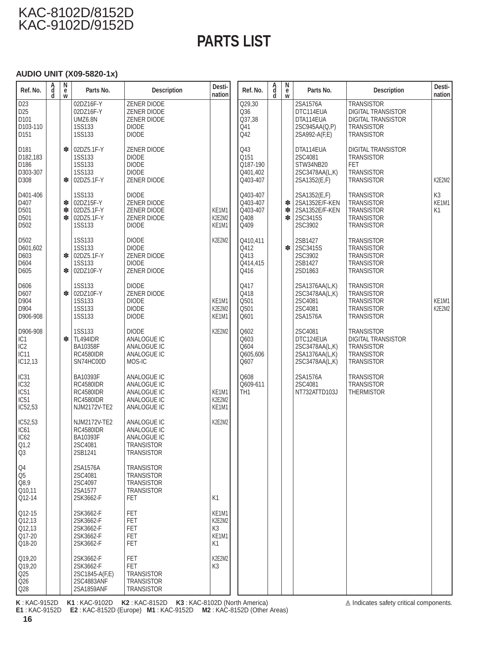# **PARTS LIST**

#### **AUDIO UNIT (X09-5820-1x)**

| Ref. No.                                                                                | A<br>d<br>d | N<br>$\ddot{\mathbf{e}}$<br>w | Parts No.                                                                            | <b>Description</b>                                                                      | Desti-<br>nation                     | Ref. No.                                         | A<br>d<br>d | N<br>$\ddot{\mathbf{e}}$<br>w | Parts No.                                                                  | <b>Description</b>                                                                                                    | Desti-<br>nation              |
|-----------------------------------------------------------------------------------------|-------------|-------------------------------|--------------------------------------------------------------------------------------|-----------------------------------------------------------------------------------------|--------------------------------------|--------------------------------------------------|-------------|-------------------------------|----------------------------------------------------------------------------|-----------------------------------------------------------------------------------------------------------------------|-------------------------------|
| D <sub>23</sub><br>D <sub>25</sub><br>D101<br>D103-110<br>D151                          |             |                               | 02DZ16F-Y<br>02DZ16F-Y<br><b>UMZ6.8N</b><br><b>1SS133</b><br>1SS133                  | ZENER DIODE<br>ZENER DIODE<br>ZENER DIODE<br><b>DIODE</b><br><b>DIODE</b>               |                                      | Q29,30<br>Q36<br>Q37,38<br>Q41<br>Q42            |             |                               | 2SA1576A<br>DTC114EUA<br>DTA114EUA<br>2SC945AA(Q,P)<br>2SA992-A(F,E)       | <b>TRANSISTOR</b><br><b>DIGITAL TRANSISTOR</b><br><b>DIGITAL TRANSISTOR</b><br><b>TRANSISTOR</b><br><b>TRANSISTOR</b> |                               |
| D <sub>181</sub><br>D182,183<br>D186<br>D303-307<br>D308                                |             | ∗<br>∗                        | 02DZ5.1F-Y<br><b>1SS133</b><br><b>1SS133</b><br><b>1SS133</b><br>02DZ5.1F-Y          | ZENER DIODE<br><b>DIODE</b><br><b>DIODE</b><br><b>DIODE</b><br>ZENER DIODE              |                                      | Q43<br>Q151<br>Q187-190<br>Q401,402<br>Q403-407  |             |                               | DTA114EUA<br>2SC4081<br>STW34NB20<br>2SC3478AA(L,K)<br>2SA1352(E,F)        | <b>DIGITAL TRANSISTOR</b><br><b>TRANSISTOR</b><br><b>FET</b><br><b>TRANSISTOR</b><br><b>TRANSISTOR</b>                | K2E2M2                        |
| D401-406<br>D407<br>D501<br>D501<br>D <sub>502</sub>                                    |             | ∗<br>∗<br>∗                   | <b>1SS133</b><br>02DZ15F-Y<br>02DZ5.1F-Y<br>02DZ5.1F-Y<br><b>1SS133</b>              | <b>DIODE</b><br>ZENER DIODE<br>ZENER DIODE<br>ZENER DIODE<br><b>DIODE</b>               | KE1M1<br>K2E2M2<br>KE1M1             | Q403-407<br>Q403-407<br>Q403-407<br>Q408<br>Q409 |             | ∗<br>∗<br>∗                   | 2SA1352(E,F)<br>2SA1352E/F-KEN<br>2SA1352E/F-KEN<br>2SC3415S<br>2SC3902    | <b>TRANSISTOR</b><br><b>TRANSISTOR</b><br><b>TRANSISTOR</b><br><b>TRANSISTOR</b><br><b>TRANSISTOR</b>                 | K <sub>3</sub><br>KE1M1<br>K1 |
| D502<br>D601,602<br>D603<br>D604<br>D605                                                |             | ∗<br>∗                        | <b>1SS133</b><br><b>1SS133</b><br>02DZ5.1F-Y<br><b>1SS133</b><br>02DZ10F-Y           | <b>DIODE</b><br><b>DIODE</b><br>ZENER DIODE<br><b>DIODE</b><br>ZENER DIODE              | K2E2M2                               | Q410,411<br>Q412<br>Q413<br>Q414,415<br>Q416     |             | *                             | 2SB1427<br>2SC3415S<br>2SC3902<br>2SB1427<br>2SD1863                       | <b>TRANSISTOR</b><br><b>TRANSISTOR</b><br><b>TRANSISTOR</b><br><b>TRANSISTOR</b><br><b>TRANSISTOR</b>                 |                               |
| D606<br>D607<br>D904<br>D904<br>D906-908                                                |             | ∗                             | 1SS133<br>02DZ10F-Y<br><b>1SS133</b><br><b>1SS133</b><br><b>1SS133</b>               | <b>DIODE</b><br>ZENER DIODE<br><b>DIODE</b><br><b>DIODE</b><br><b>DIODE</b>             | KE1M1<br>K2E2M2<br>KE1M1             | Q417<br>Q418<br>Q501<br>Q501<br>Q601             |             |                               | 2SA1376AA(L,K)<br>2SC3478AA(L,K)<br>2SC4081<br>2SC4081<br>2SA1576A         | <b>TRANSISTOR</b><br><b>TRANSISTOR</b><br><b>TRANSISTOR</b><br><b>TRANSISTOR</b><br><b>TRANSISTOR</b>                 | KE1M1<br>K2E2M2               |
| D906-908<br>IC <sub>1</sub><br>IC <sub>2</sub><br>IC <sub>11</sub><br>IC12,13           |             | ∗                             | <b>1SS133</b><br><b>TL494IDR</b><br>BA10358F<br><b>RC4580IDR</b><br>SN74HC00D        | <b>DIODE</b><br>ANALOGUE IC<br>ANALOGUE IC<br>ANALOGUE IC<br>MOS-IC                     | K2E2M2                               | Q602<br>Q603<br>Q604<br>Q605,606<br>Q607         |             |                               | 2SC4081<br>DTC124EUA<br>2SC3478AA(L,K)<br>2SA1376AA(L,K)<br>2SC3478AA(L,K) | <b>TRANSISTOR</b><br><b>DIGITAL TRANSISTOR</b><br><b>TRANSISTOR</b><br><b>TRANSISTOR</b><br><b>TRANSISTOR</b>         |                               |
| IC <sub>31</sub><br>IC <sub>32</sub><br>IC <sub>51</sub><br>IC <sub>51</sub><br>IC52,53 |             |                               | BA10393F<br><b>RC4580IDR</b><br><b>RC4580IDR</b><br><b>RC4580IDR</b><br>NJM2172V-TE2 | ANALOGUE IC<br>ANALOGUE IC<br>ANALOGUE IC<br>ANALOGUE IC<br>ANALOGUE IC                 | KE1M1<br>K2E2M2<br>KE1M1             | Q608<br>Q609-611<br>TH <sub>1</sub>              |             |                               | 2SA1576A<br>2SC4081<br>NT732ATTD103J                                       | <b>TRANSISTOR</b><br>TRANSISTOR<br><b>THERMISTOR</b>                                                                  |                               |
| IC52,53<br>IC61<br>IC62<br>Q1,2<br>Q <sub>3</sub>                                       |             |                               | NJM2172V-TE2<br><b>RC4580IDR</b><br>BA10393F<br>2SC4081<br>2SB1241                   | ANALOGUE IC<br>ANALOGUE IC<br>ANALOGUE IC<br><b>TRANSISTOR</b><br><b>TRANSISTOR</b>     | K2E2M2                               |                                                  |             |                               |                                                                            |                                                                                                                       |                               |
| Q4<br>Q <sub>5</sub><br>$\overline{Q8,9}$<br>Q10,11<br>Q12-14                           |             |                               | 2SA1576A<br>2SC4081<br>2SC4097<br>2SA1577<br>2SK3662-F                               | <b>TRANSISTOR</b><br><b>TRANSISTOR</b><br><b>TRANSISTOR</b><br><b>TRANSISTOR</b><br>FET | K1                                   |                                                  |             |                               |                                                                            |                                                                                                                       |                               |
| $Q12-15$<br>Q12,13<br>Q12,13<br>Q17-20<br>Q18-20                                        |             |                               | 2SK3662-F<br>2SK3662-F<br>2SK3662-F<br>2SK3662-F<br>2SK3662-F                        | <b>FET</b><br>FET<br><b>FET</b><br><b>FET</b><br>FET                                    | KE1M1<br>K2E2M2<br>K3<br>KE1M1<br>K1 |                                                  |             |                               |                                                                            |                                                                                                                       |                               |
| Q19,20<br>Q19,20<br>Q25<br>Q26<br>Q28                                                   |             |                               | 2SK3662-F<br>2SK3662-F<br>2SC1845-A(F,E)<br>2SC4883ANF<br>2SA1859ANF                 | <b>FET</b><br><b>FET</b><br><b>TRANSISTOR</b><br><b>TRANSISTOR</b><br><b>TRANSISTOR</b> | K2E2M2<br>K3                         |                                                  |             |                               |                                                                            |                                                                                                                       |                               |

**K** : KAC-9152D **K1** : KAC-9102D **K2** : KAC-8152D **K3** : KAC-8102D (North America) **E1** : KAC-9152D **E2** : KAC-8152D (Europe) **M1** : KAC-9152D **M2** : KAC-8152D (Other Areas)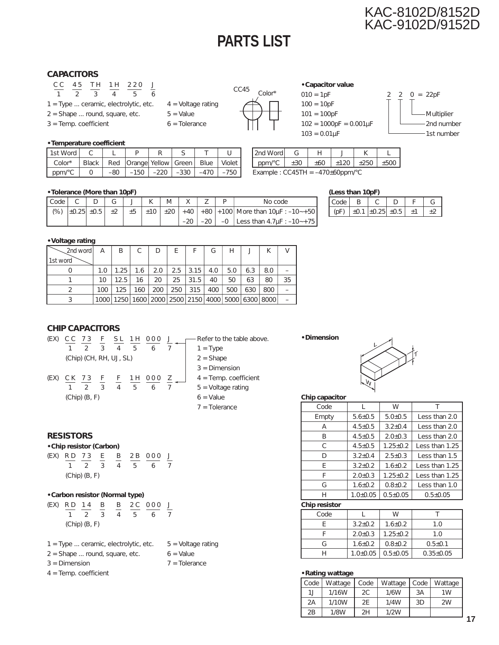# **PARTS LIST**

### KAC-8102D/8152D KAC-9102D/9152D

#### **CAPACITORS**

- C C 45 TH 1H 220 J 1234 56
- $1 = Type \dots$  ceramic, electrolytic, etc.  $4 = Vol$  Voltage rating
- $2 =$  Shape ... round, square, etc.  $5 =$  Value
- $3 =$ Temp. coefficient 6 = Tolerance
- -





 $100 = 10pF$  $101 = 100pF$   $\Box$  Multiplier



#### **• Temperature coefficient**

| 11st Word                |       |       |                                               |             |        |        |
|--------------------------|-------|-------|-----------------------------------------------|-------------|--------|--------|
| $Color*$                 | Black |       | Red   Orange   Yellow   Green   Blue   Violet |             |        |        |
| ' $ppm$ <sup>o</sup> C . |       | $-80$ | $-150$ I                                      | -220   -330 | $-470$ | $-750$ |

ppm/°C ±30 ±60 ±120 ±250 ±500 Example :  $CC45TH = -470±60ppm/°C$ 

2nd Word G  $H$  H  $J$  K  $L$ 

#### **• Tolerance (More than 10pF)**

| LCode L |  | $\mathsf{L}_{\mathsf{L}}$ |  |  |  | No code                                                                             |
|---------|--|---------------------------|--|--|--|-------------------------------------------------------------------------------------|
|         |  |                           |  |  |  | (%)  ±0.25  ±0.5   ±2   ±5   ±10   ±20   +40   +80   +100  More than 10μF : −10∼+50 |
|         |  |                           |  |  |  | $\vert -20 \vert -0 \vert$ Less than 4.7 $\mu$ F : $-10$ $\rightarrow$ +75          |

#### **(Less than 10pF)**

|  |         |  | $\overline{ }$ |
|--|---------|--|----------------|
|  | -11 つトー |  |                |

#### **• Voltage rating**

| $\sim$ 2nd word | A   | B    | C                                                                   | D   | F   |      | G   | Н   |     |     |    |
|-----------------|-----|------|---------------------------------------------------------------------|-----|-----|------|-----|-----|-----|-----|----|
| 1st word        |     |      |                                                                     |     |     |      |     |     |     |     |    |
|                 | 1.0 | 1.25 | 1.6                                                                 | 2.0 | 2.5 | 3.15 | 4.0 | 5.0 | 6.3 | 8.0 |    |
|                 | 10  | 12.5 | 16                                                                  | 20  | 25  | 31.5 | 40  | 50  | 63  | 80  | 35 |
|                 | 100 | 125  | 160                                                                 | 200 | 250 | 315  | 400 | 500 | 630 | 800 |    |
|                 |     |      | 1000   1250   1600   2000   2500   2150   4000   5000   6300   8000 |     |     |      |     |     |     |     |    |

#### **CHIP CAPACITORS**



#### **RESISTORS**

#### **• Chip resistor (Carbon)**

|                   |  |  |  |  |  | (EX) RD 73 E B 2B 000 J |  |
|-------------------|--|--|--|--|--|-------------------------|--|
|                   |  |  |  |  |  | 1 2 3 4 5 6 7           |  |
| $(Chip)$ $(B, F)$ |  |  |  |  |  |                         |  |

#### **• Carbon resistor (Normal type)**

|                   | (EX) RD 14 B |  |  |  |  | B 2C 000 J    |  |
|-------------------|--------------|--|--|--|--|---------------|--|
|                   |              |  |  |  |  | 1 2 3 4 5 6 7 |  |
| $(Chip)$ $(B, F)$ |              |  |  |  |  |               |  |

- $1 = Type \dots$  ceramic, electrolytic, etc.  $5 = Vol$  Voltage rating
- $2 =$  Shape ... round, square, etc.  $6 =$  Value
- $3 =$  Dimension  $7 =$  Tolerance
- 4 = Temp. coefficient
- 
- 
- 

#### **• Dimension**



#### **Chip capacitor**

| Code  |               | W              |                |  |
|-------|---------------|----------------|----------------|--|
| Empty | $5.6 \pm 0.5$ | 5.0 ± 0.5      | Less than 2.0  |  |
| Α     | $4.5 \pm 0.5$ | $3.2 \pm 0.4$  | Less than 2.0  |  |
| В     | $4.5 \pm 0.5$ | $2.0 \pm 0.3$  | Less than 2.0  |  |
| C     | $4.5 \pm 0.5$ | $1.25 \pm 0.2$ | Less than 1.25 |  |
| D     | $3.2+0.4$     | $2.5 \pm 0.3$  | Less than 1.5  |  |
| F     | $3.2+0.2$     | $1.6 \pm 0.2$  | Less than 1.25 |  |
| F     | $2.0 \pm 0.3$ | $1.25 \pm 0.2$ | Less than 1.25 |  |
| G     | $1.6 \pm 0.2$ | $0.8 + 0.2$    | Less than 1.0  |  |
| Н     | $1.0 + 0.05$  | $0.5 \pm 0.05$ | $0.5 \pm 0.05$ |  |
|       |               |                |                |  |

#### **Chip resistor**

| Code |                | W              |                 |
|------|----------------|----------------|-----------------|
|      | $3.2 \pm 0.2$  | $1.6 \pm 0.2$  | 1.0             |
|      | $2.0 \pm 0.3$  | $1.25 \pm 0.2$ | 1.0             |
| G    | $1.6 \pm 0.2$  | $0.8 + 0.2$    | $0.5 \pm 0.1$   |
|      | $1.0 \pm 0.05$ | $0.5 + 0.05$   | $0.35 \pm 0.05$ |
|      |                |                |                 |

#### **• Rating wattage**

| Code | Wattage | Code | Wattage   Code |    | Wattage        |
|------|---------|------|----------------|----|----------------|
| 1.   | 1/16W   | 2C   | 1/6W           | 3A | 1 <sub>W</sub> |
| 2A   | 1/10W   | 2E   | 1/4W           | 3D | 2W             |
| 2B   | 1/8W    | 2Η   | 1/2W           |    |                |